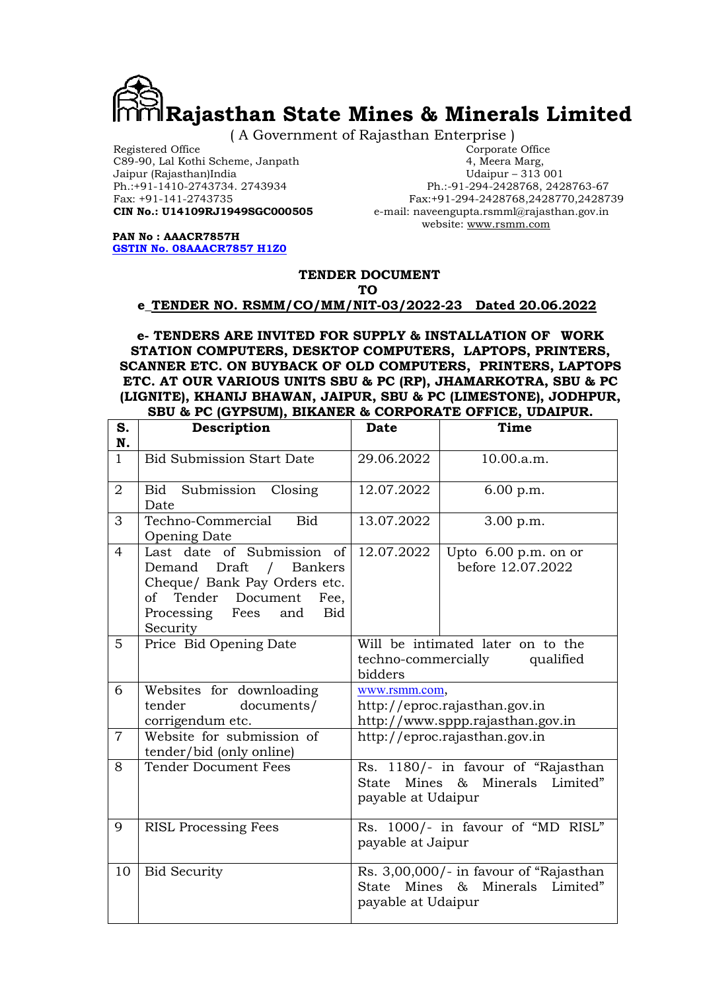

( A Government of Rajasthan Enterprise )

Registered Office Corporate Office<br>
Corporate Office C89-90, Lal Kothi Scheme, Janpath (1994)<br>
29-90, Lal Kothi Scheme, Janpath (1995)<br>
29-90, Lal Kothi Scheme, Janpath (1996) C89-90, Lal Kothi Scheme, Janpath 4, Meera Marg, Jaipur (Rajasthan)India<br>Ph.:+91-1410-2743734. 2743934

Ph.:+91-1410-2743734. 2743934<br>
Fax: +91-141-2743735<br>
Fax: +91-141-2743735<br>
Fax: +91-294-2428768.2428770.24287 Fax: +91-141-2743735<br> **CIN No.: U14109RJ1949SGC000505** e-mail: naveengupta.rsmml@rajasthan.gov.in  $e$ -mail: naveengupta.rsmml@rajasthan.gov.in website: www.rsmm.com

PAN No : AAACR7857H GSTIN No. 08AAACR7857 H1Z0

#### TENDER DOCUMENT

#### TO

#### e\_TENDER NO. RSMM/CO/MM/NIT-03/2022-23 Dated 20.06.2022

e- TENDERS ARE INVITED FOR SUPPLY & INSTALLATION OF WORK STATION COMPUTERS, DESKTOP COMPUTERS, LAPTOPS, PRINTERS, SCANNER ETC. ON BUYBACK OF OLD COMPUTERS, PRINTERS, LAPTOPS ETC. AT OUR VARIOUS UNITS SBU & PC (RP), JHAMARKOTRA, SBU & PC (LIGNITE), KHANIJ BHAWAN, JAIPUR, SBU & PC (LIMESTONE), JODHPUR, SBU & PC (GYPSUM), BIKANER & CORPORATE OFFICE, UDAIPUR.

|                | SDU & FC (UIFSUM), DINANER & CORFORATE OFFICE, UDAIFUR.                                                                                                             |                                                                                    |                                                                           |  |  |  |
|----------------|---------------------------------------------------------------------------------------------------------------------------------------------------------------------|------------------------------------------------------------------------------------|---------------------------------------------------------------------------|--|--|--|
| S.<br>N.       | Description                                                                                                                                                         | Date                                                                               | Time                                                                      |  |  |  |
| $\mathbf{1}$   | <b>Bid Submission Start Date</b>                                                                                                                                    | 29.06.2022                                                                         | 10.00.a.m.                                                                |  |  |  |
| $\overline{2}$ | Bid Submission Closing<br>Date                                                                                                                                      | 12.07.2022                                                                         | 6.00 p.m.                                                                 |  |  |  |
| 3              | Techno-Commercial<br><b>Bid</b><br><b>Opening Date</b>                                                                                                              | 13.07.2022                                                                         | 3.00 p.m.                                                                 |  |  |  |
| $\overline{4}$ | Last date of Submission of<br>Demand Draft / Bankers<br>Cheque/ Bank Pay Orders etc.<br>of Tender Document<br>Fee,<br>Processing Fees and<br><b>Bid</b><br>Security | 12.07.2022                                                                         | Upto $6.00$ p.m. on or<br>before 12.07.2022                               |  |  |  |
| 5              | Price Bid Opening Date                                                                                                                                              | Will be intimated later on to the<br>techno-commercially<br>qualified<br>bidders   |                                                                           |  |  |  |
| 6              | Websites for downloading<br>tender<br>documents/<br>corrigendum etc.                                                                                                | www.rsmm.com,<br>http://eproc.rajasthan.gov.in<br>http://www.sppp.rajasthan.gov.in |                                                                           |  |  |  |
| $\overline{7}$ | Website for submission of<br>tender/bid (only online)                                                                                                               | http://eproc.rajasthan.gov.in                                                      |                                                                           |  |  |  |
| 8              | <b>Tender Document Fees</b>                                                                                                                                         | State<br>payable at Udaipur                                                        | Rs. 1180/- in favour of "Rajasthan<br>Mines & Minerals Limited"           |  |  |  |
| 9              | <b>RISL Processing Fees</b>                                                                                                                                         | payable at Jaipur                                                                  | Rs. 1000/- in favour of "MD RISL"                                         |  |  |  |
| 10             | <b>Bid Security</b>                                                                                                                                                 | payable at Udaipur                                                                 | Rs. 3,00,000/- in favour of "Rajasthan<br>State Mines & Minerals Limited" |  |  |  |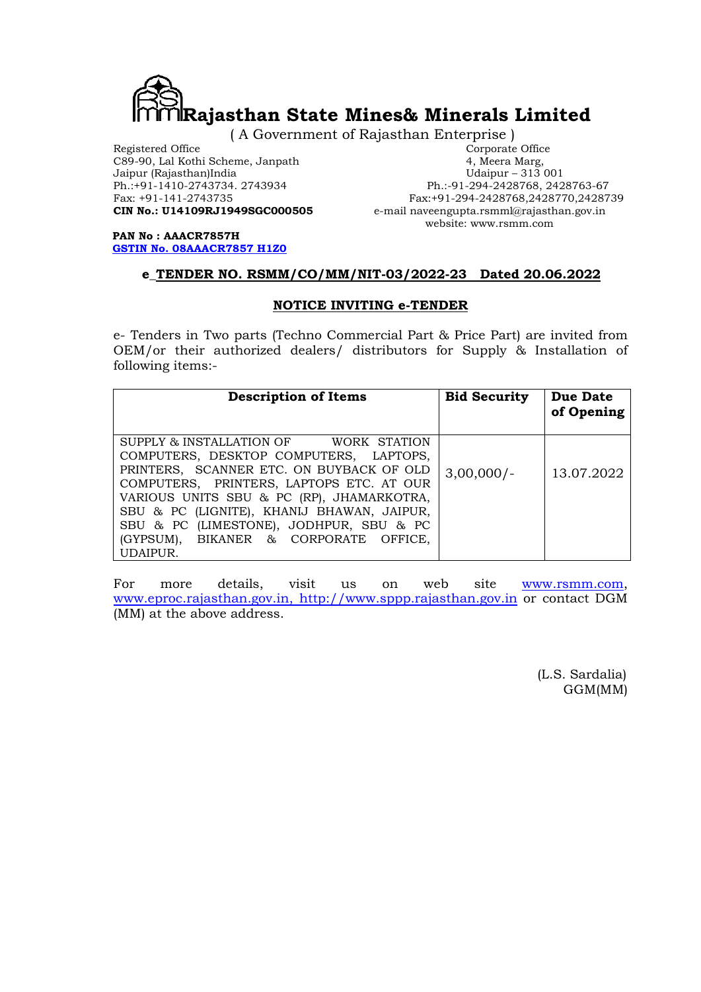

( A Government of Rajasthan Enterprise )

Registered Office Corporate Office<br>
Corporate Office C89-90, Lal Kothi Scheme, Janpath A, Meera Marg, C89-90, Lal Kothi Scheme, Janpath 4, Meera Marg, Jaipur (Rajasthan)India and Janpath 4, Meera Marg, Ph.:+91-1410-2743734. 2743934<br>Fax: +91-141-2743735

Jaipur (Rajasthan)India Udaipur – 313 001 Fax: +91-141-2743735<br> **CIN No.: U14109RJ1949SGC000505** e-mail naveengupta.rsmml@rajasthan.gov.in e-mail naveengupta.rsmml@rajasthan.gov.in website: www.rsmm.com

PAN No : AAACR7857H GSTIN No. 08AAACR7857 H1Z0

# e\_TENDER NO. RSMM/CO/MM/NIT-03/2022-23 Dated 20.06.2022

# NOTICE INVITING e-TENDER

e- Tenders in Two parts (Techno Commercial Part & Price Part) are invited from OEM/or their authorized dealers/ distributors for Supply & Installation of following items:-

| <b>Description of Items</b>                                                                                                                                                                                                                                                                                                                                           | <b>Bid Security</b> | Due Date<br>of Opening |
|-----------------------------------------------------------------------------------------------------------------------------------------------------------------------------------------------------------------------------------------------------------------------------------------------------------------------------------------------------------------------|---------------------|------------------------|
| SUPPLY & INSTALLATION OF<br>WORK STATION<br>COMPUTERS, DESKTOP COMPUTERS, LAPTOPS,<br>PRINTERS, SCANNER ETC. ON BUYBACK OF OLD<br>COMPUTERS, PRINTERS, LAPTOPS ETC. AT OUR<br>VARIOUS UNITS SBU & PC (RP), JHAMARKOTRA,<br>SBU & PC (LIGNITE), KHANIJ BHAWAN, JAIPUR,<br>SBU & PC (LIMESTONE), JODHPUR, SBU & PC<br>(GYPSUM), BIKANER & CORPORATE OFFICE,<br>UDAIPUR. | $3,00,000/-$        | 13.07.2022             |

For more details, visit us on web site www.rsmm.com, www.eproc.rajasthan.gov.in, http://www.sppp.rajasthan.gov.in or contact DGM (MM) at the above address.

> (L.S. Sardalia) GGM(MM)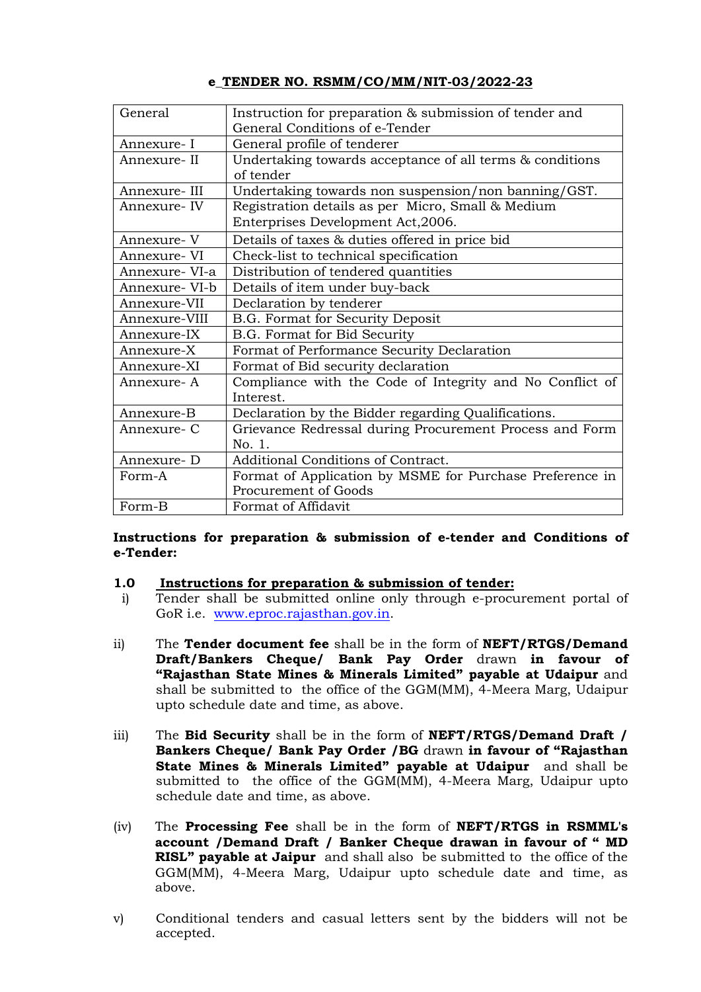| General        | Instruction for preparation & submission of tender and   |
|----------------|----------------------------------------------------------|
|                | General Conditions of e-Tender                           |
| Annexure-I     | General profile of tenderer                              |
| Annexure- II   | Undertaking towards acceptance of all terms & conditions |
|                | of tender                                                |
| Annexure- III  | Undertaking towards non suspension/non banning/GST.      |
| Annexure-IV    | Registration details as per Micro, Small & Medium        |
|                | Enterprises Development Act, 2006.                       |
| Annexure- V    | Details of taxes & duties offered in price bid           |
| Annexure- VI   | Check-list to technical specification                    |
| Annexure- VI-a | Distribution of tendered quantities                      |
| Annexure- VI-b | Details of item under buy-back                           |
| Annexure-VII   | Declaration by tenderer                                  |
| Annexure-VIII  | B.G. Format for Security Deposit                         |
| Annexure-IX    | B.G. Format for Bid Security                             |
| Annexure-X     | Format of Performance Security Declaration               |
| Annexure-XI    | Format of Bid security declaration                       |
| Annexure- A    | Compliance with the Code of Integrity and No Conflict of |
|                | Interest.                                                |
| Annexure-B     | Declaration by the Bidder regarding Qualifications.      |
| Annexure- C    | Grievance Redressal during Procurement Process and Form  |
|                | No. 1.                                                   |
| Annexure- D    | Additional Conditions of Contract.                       |
| Form-A         | Format of Application by MSME for Purchase Preference in |
|                | Procurement of Goods                                     |
| Form-B         | Format of Affidavit                                      |

### Instructions for preparation & submission of e-tender and Conditions of e-Tender:

# 1.0 Instructions for preparation & submission of tender:

- i) Tender shall be submitted online only through e-procurement portal of GoR i.e. www.eproc.rajasthan.gov.in.
- ii) The Tender document fee shall be in the form of NEFT/RTGS/Demand Draft/Bankers Cheque/ Bank Pay Order drawn in favour of "Rajasthan State Mines & Minerals Limited" payable at Udaipur and shall be submitted to the office of the GGM(MM), 4-Meera Marg, Udaipur upto schedule date and time, as above.
- iii) The **Bid Security** shall be in the form of  $NET/RTGS/Demand$  Draft / Bankers Cheque/ Bank Pay Order /BG drawn in favour of "Rajasthan State Mines & Minerals Limited" payable at Udaipur and shall be submitted to the office of the GGM(MM), 4-Meera Marg, Udaipur upto schedule date and time, as above.
- (iv) The Processing Fee shall be in the form of NEFT/RTGS in RSMML's account /Demand Draft / Banker Cheque drawan in favour of " MD RISL" payable at Jaipur and shall also be submitted to the office of the GGM(MM), 4-Meera Marg, Udaipur upto schedule date and time, as above.
- v) Conditional tenders and casual letters sent by the bidders will not be accepted.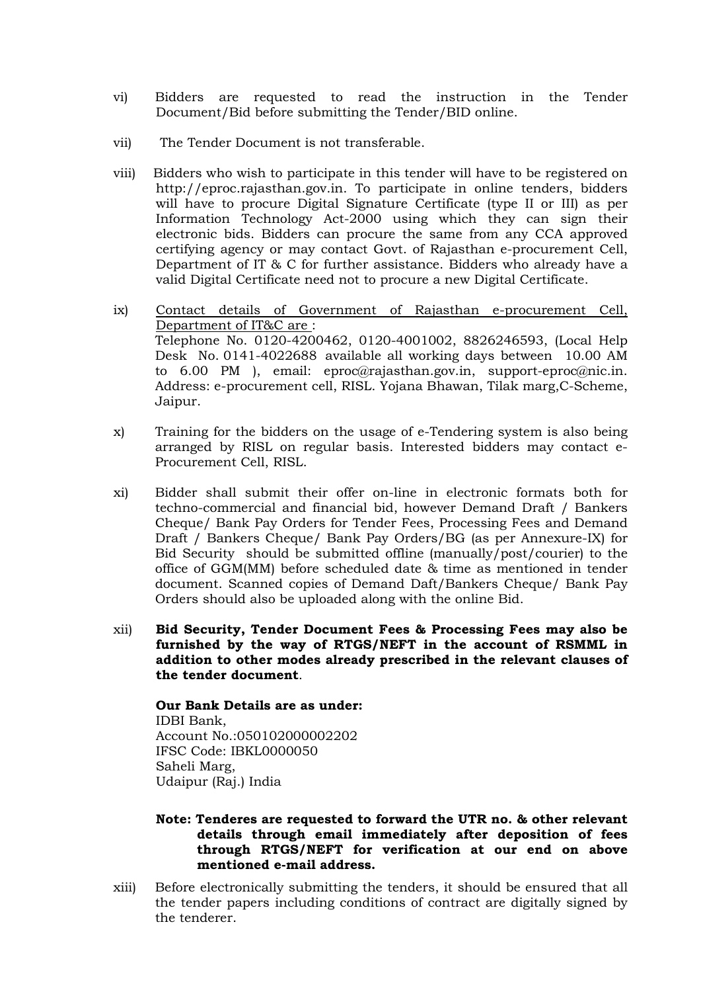- vi) Bidders are requested to read the instruction in the Tender Document/Bid before submitting the Tender/BID online.
- vii) The Tender Document is not transferable.
- viii) Bidders who wish to participate in this tender will have to be registered on http://eproc.rajasthan.gov.in. To participate in online tenders, bidders will have to procure Digital Signature Certificate (type II or III) as per Information Technology Act-2000 using which they can sign their electronic bids. Bidders can procure the same from any CCA approved certifying agency or may contact Govt. of Rajasthan e-procurement Cell, Department of IT & C for further assistance. Bidders who already have a valid Digital Certificate need not to procure a new Digital Certificate.
- ix) Contact details of Government of Rajasthan e-procurement Cell, Department of IT&C are : Telephone No. 0120-4200462, 0120-4001002, 8826246593, (Local Help Desk No. 0141-4022688 available all working days between 10.00 AM to 6.00 PM ), email: eproc@rajasthan.gov.in, support-eproc@nic.in. Address: e-procurement cell, RISL. Yojana Bhawan, Tilak marg,C-Scheme, Jaipur.
- x) Training for the bidders on the usage of e-Tendering system is also being arranged by RISL on regular basis. Interested bidders may contact e-Procurement Cell, RISL.
- xi) Bidder shall submit their offer on-line in electronic formats both for techno-commercial and financial bid, however Demand Draft / Bankers Cheque/ Bank Pay Orders for Tender Fees, Processing Fees and Demand Draft / Bankers Cheque/ Bank Pay Orders/BG (as per Annexure-IX) for Bid Security should be submitted offline (manually/post/courier) to the office of GGM(MM) before scheduled date & time as mentioned in tender document. Scanned copies of Demand Daft/Bankers Cheque/ Bank Pay Orders should also be uploaded along with the online Bid.
- xii) Bid Security, Tender Document Fees & Processing Fees may also be furnished by the way of RTGS/NEFT in the account of RSMML in addition to other modes already prescribed in the relevant clauses of the tender document.

Our Bank Details are as under: IDBI Bank, Account No.:050102000002202 IFSC Code: IBKL0000050 Saheli Marg, Udaipur (Raj.) India

- Note: Tenderes are requested to forward the UTR no. & other relevant details through email immediately after deposition of fees through RTGS/NEFT for verification at our end on above mentioned e-mail address.
- xiii) Before electronically submitting the tenders, it should be ensured that all the tender papers including conditions of contract are digitally signed by the tenderer.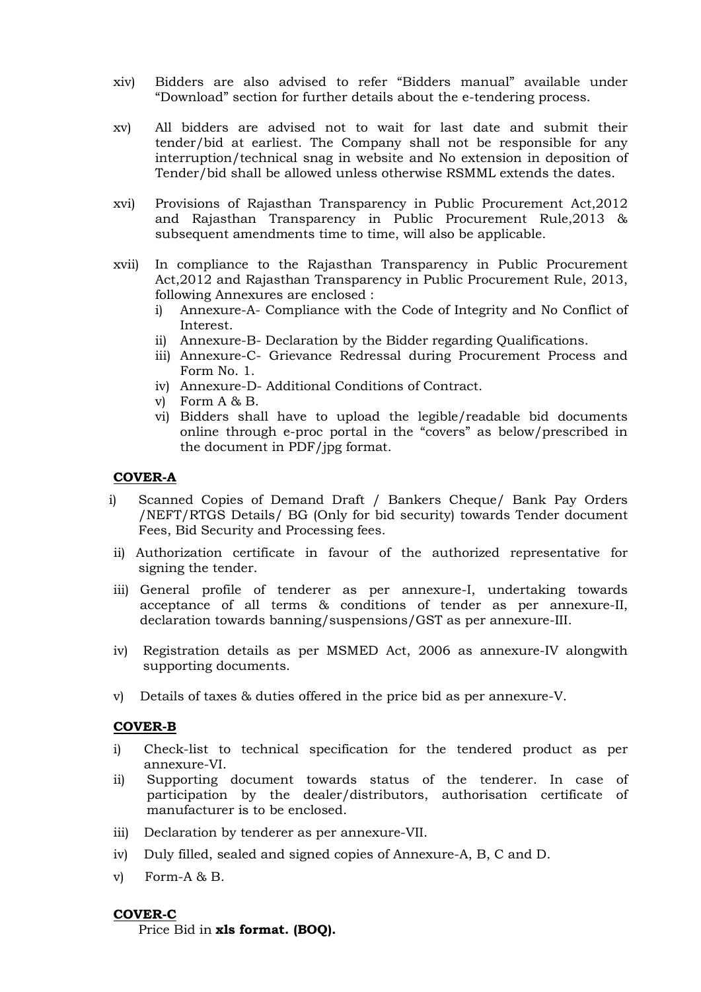- xiv) Bidders are also advised to refer "Bidders manual" available under "Download" section for further details about the e-tendering process.
- xv) All bidders are advised not to wait for last date and submit their tender/bid at earliest. The Company shall not be responsible for any interruption/technical snag in website and No extension in deposition of Tender/bid shall be allowed unless otherwise RSMML extends the dates.
- xvi) Provisions of Rajasthan Transparency in Public Procurement Act,2012 and Rajasthan Transparency in Public Procurement Rule,2013 & subsequent amendments time to time, will also be applicable.
- xvii) In compliance to the Rajasthan Transparency in Public Procurement Act,2012 and Rajasthan Transparency in Public Procurement Rule, 2013, following Annexures are enclosed :
	- i) Annexure-A- Compliance with the Code of Integrity and No Conflict of Interest.
	- ii) Annexure-B- Declaration by the Bidder regarding Qualifications.
	- iii) Annexure-C- Grievance Redressal during Procurement Process and Form No. 1.
	- iv) Annexure-D- Additional Conditions of Contract.
	- v) Form A & B.
	- vi) Bidders shall have to upload the legible/readable bid documents online through e-proc portal in the "covers" as below/prescribed in the document in PDF/jpg format.

### COVER-A

- i) Scanned Copies of Demand Draft / Bankers Cheque/ Bank Pay Orders /NEFT/RTGS Details/ BG (Only for bid security) towards Tender document Fees, Bid Security and Processing fees.
- ii) Authorization certificate in favour of the authorized representative for signing the tender.
- iii) General profile of tenderer as per annexure-I, undertaking towards acceptance of all terms & conditions of tender as per annexure-II, declaration towards banning/suspensions/GST as per annexure-III.
- iv) Registration details as per MSMED Act, 2006 as annexure-IV alongwith supporting documents.
- v) Details of taxes & duties offered in the price bid as per annexure-V.

#### COVER-B

- i) Check-list to technical specification for the tendered product as per annexure-VI.
- ii) Supporting document towards status of the tenderer. In case of participation by the dealer/distributors, authorisation certificate of manufacturer is to be enclosed.
- iii) Declaration by tenderer as per annexure-VII.
- iv) Duly filled, sealed and signed copies of Annexure-A, B, C and D.
- v) Form-A & B.

#### COVER-C

Price Bid in xls format. (BOQ).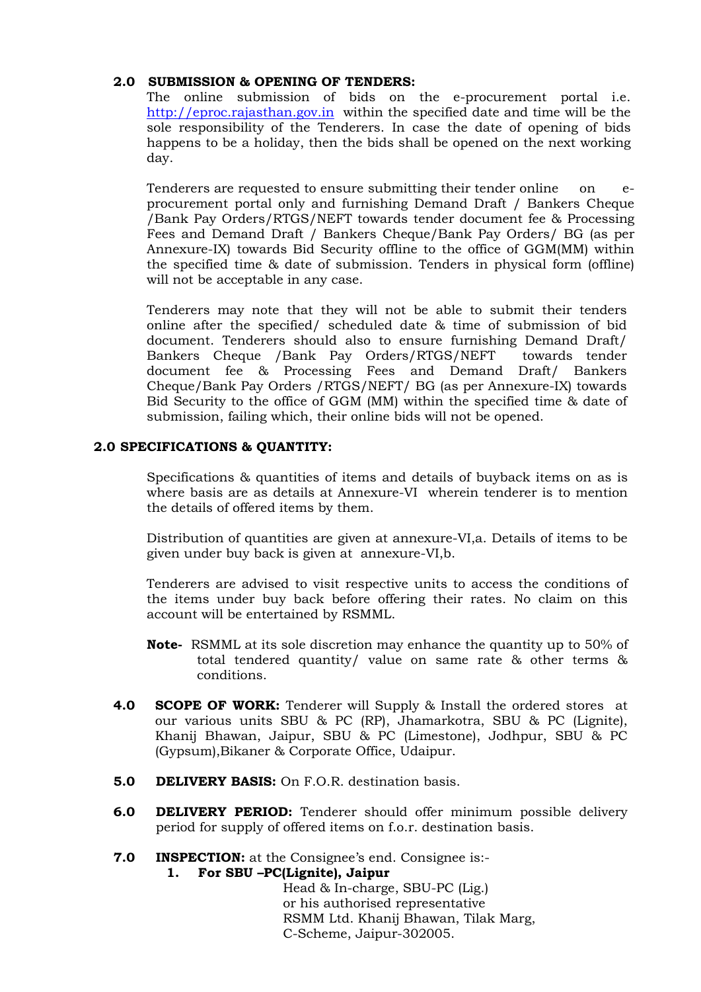# 2.0 SUBMISSION & OPENING OF TENDERS:

The online submission of bids on the e-procurement portal i.e. http://eproc.rajasthan.gov.in within the specified date and time will be the sole responsibility of the Tenderers. In case the date of opening of bids happens to be a holiday, then the bids shall be opened on the next working day.

Tenderers are requested to ensure submitting their tender online on eprocurement portal only and furnishing Demand Draft / Bankers Cheque /Bank Pay Orders/RTGS/NEFT towards tender document fee & Processing Fees and Demand Draft / Bankers Cheque/Bank Pay Orders/ BG (as per Annexure-IX) towards Bid Security offline to the office of GGM(MM) within the specified time & date of submission. Tenders in physical form (offline) will not be acceptable in any case.

Tenderers may note that they will not be able to submit their tenders online after the specified/ scheduled date & time of submission of bid document. Tenderers should also to ensure furnishing Demand Draft/ Bankers Cheque /Bank Pay Orders/RTGS/NEFT towards tender document fee & Processing Fees and Demand Draft/ Bankers Cheque/Bank Pay Orders /RTGS/NEFT/ BG (as per Annexure-IX) towards Bid Security to the office of GGM (MM) within the specified time & date of submission, failing which, their online bids will not be opened.

# 2.0 SPECIFICATIONS & QUANTITY:

Specifications & quantities of items and details of buyback items on as is where basis are as details at Annexure-VI wherein tenderer is to mention the details of offered items by them.

 Distribution of quantities are given at annexure-VI,a. Details of items to be given under buy back is given at annexure-VI,b.

 Tenderers are advised to visit respective units to access the conditions of the items under buy back before offering their rates. No claim on this account will be entertained by RSMML.

- Note- RSMML at its sole discretion may enhance the quantity up to 50% of total tendered quantity/ value on same rate & other terms & conditions.
- **4.0 SCOPE OF WORK:** Tenderer will Supply & Install the ordered stores at our various units SBU & PC (RP), Jhamarkotra, SBU & PC (Lignite), Khanij Bhawan, Jaipur, SBU & PC (Limestone), Jodhpur, SBU & PC (Gypsum),Bikaner & Corporate Office, Udaipur.
- 5.0 DELIVERY BASIS: On F.O.R. destination basis.
- 6.0 DELIVERY PERIOD: Tenderer should offer minimum possible delivery period for supply of offered items on f.o.r. destination basis.
- 7.0 INSPECTION: at the Consignee's end. Consignee is:-

# 1. For SBU –PC(Lignite), Jaipur

Head & In-charge, SBU-PC (Lig.) or his authorised representative RSMM Ltd. Khanij Bhawan, Tilak Marg, C-Scheme, Jaipur-302005.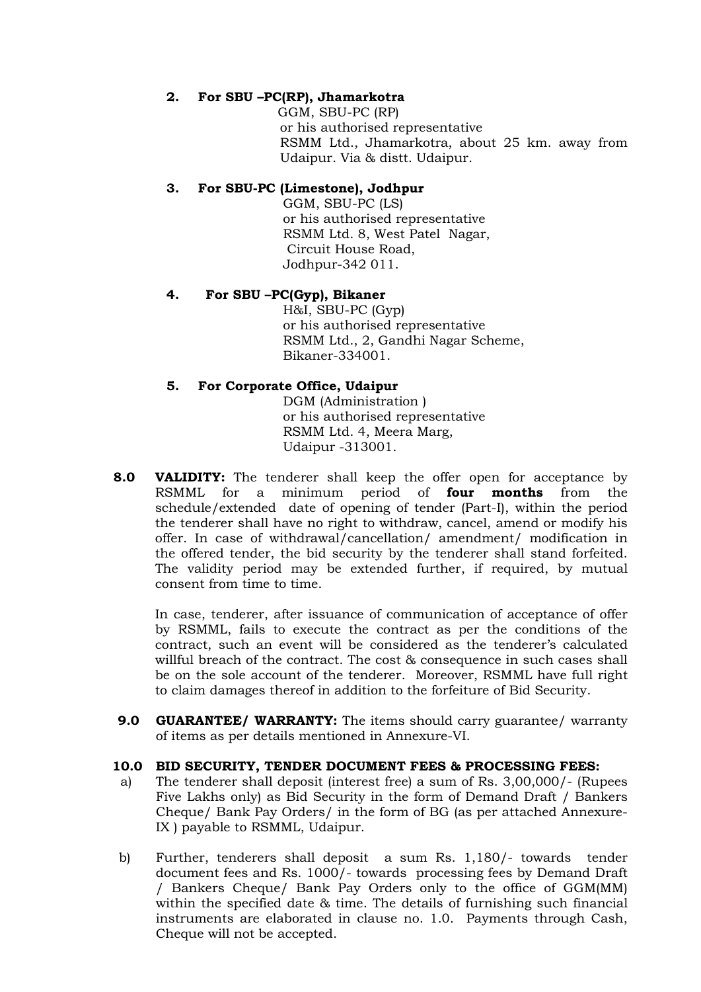# 2. For SBU –PC(RP), Jhamarkotra

 GGM, SBU-PC (RP) or his authorised representative RSMM Ltd., Jhamarkotra, about 25 km. away from Udaipur. Via & distt. Udaipur.

# 3. For SBU-PC (Limestone), Jodhpur

GGM, SBU-PC (LS) or his authorised representative RSMM Ltd. 8, West Patel Nagar, Circuit House Road, Jodhpur-342 011.

# 4. For SBU –PC(Gyp), Bikaner

H&I, SBU-PC (Gyp) or his authorised representative RSMM Ltd., 2, Gandhi Nagar Scheme, Bikaner-334001.

# 5. For Corporate Office, Udaipur

DGM (Administration ) or his authorised representative RSMM Ltd. 4, Meera Marg, Udaipur -313001.

**8.0 VALIDITY:** The tenderer shall keep the offer open for acceptance by RSMML for a minimum period of **four months** from the schedule/extended date of opening of tender (Part-I), within the period the tenderer shall have no right to withdraw, cancel, amend or modify his offer. In case of withdrawal/cancellation/ amendment/ modification in the offered tender, the bid security by the tenderer shall stand forfeited. The validity period may be extended further, if required, by mutual consent from time to time.

In case, tenderer, after issuance of communication of acceptance of offer by RSMML, fails to execute the contract as per the conditions of the contract, such an event will be considered as the tenderer's calculated willful breach of the contract. The cost & consequence in such cases shall be on the sole account of the tenderer. Moreover, RSMML have full right to claim damages thereof in addition to the forfeiture of Bid Security.

**9.0 GUARANTEE/ WARRANTY:** The items should carry guarantee/ warranty of items as per details mentioned in Annexure-VI.

# 10.0 BID SECURITY, TENDER DOCUMENT FEES & PROCESSING FEES:

- a) The tenderer shall deposit (interest free) a sum of Rs. 3,00,000/- (Rupees Five Lakhs only) as Bid Security in the form of Demand Draft / Bankers Cheque/ Bank Pay Orders/ in the form of BG (as per attached Annexure-IX ) payable to RSMML, Udaipur.
- b) Further, tenderers shall deposit a sum Rs. 1,180/- towards tender document fees and Rs. 1000/- towards processing fees by Demand Draft / Bankers Cheque/ Bank Pay Orders only to the office of GGM(MM) within the specified date & time. The details of furnishing such financial instruments are elaborated in clause no. 1.0. Payments through Cash, Cheque will not be accepted.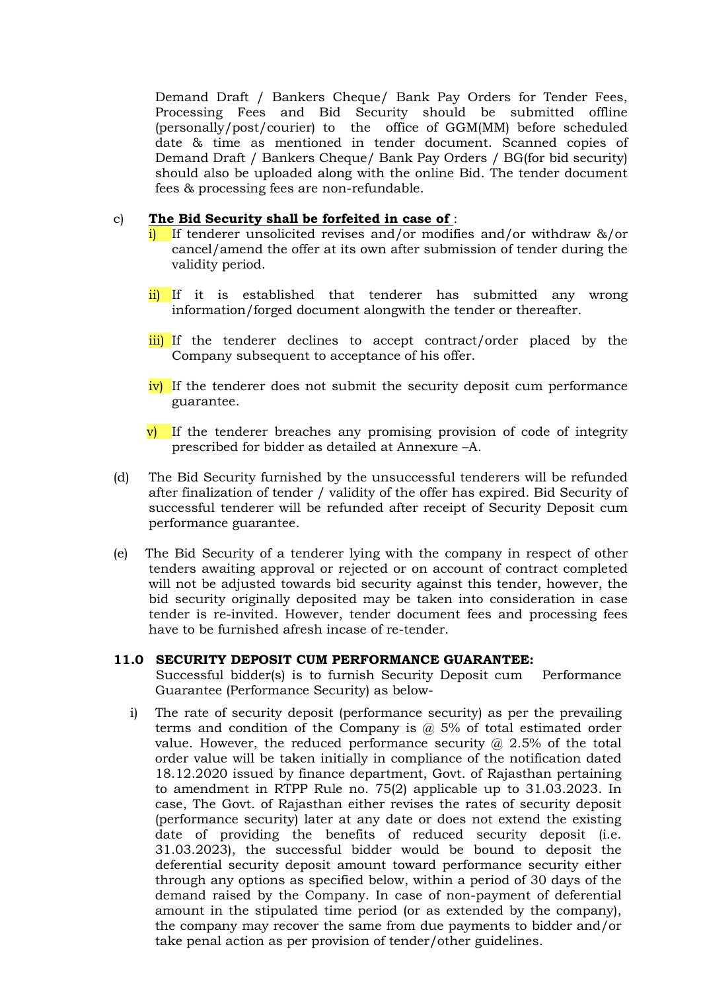Demand Draft / Bankers Cheque/ Bank Pay Orders for Tender Fees, Processing Fees and Bid Security should be submitted offline (personally/post/courier) to the office of GGM(MM) before scheduled date & time as mentioned in tender document. Scanned copies of Demand Draft / Bankers Cheque/ Bank Pay Orders / BG(for bid security) should also be uploaded along with the online Bid. The tender document fees & processing fees are non-refundable.

### c) The Bid Security shall be forfeited in case of :

- If tenderer unsolicited revises and/or modifies and/or withdraw  $\&$ /or cancel/amend the offer at its own after submission of tender during the validity period.
- ii) If it is established that tenderer has submitted any wrong information/forged document alongwith the tender or thereafter.
- iii) If the tenderer declines to accept contract/order placed by the Company subsequent to acceptance of his offer.
- $\overline{iv}$  If the tenderer does not submit the security deposit cum performance guarantee.
- $\overline{v}$ ) If the tenderer breaches any promising provision of code of integrity prescribed for bidder as detailed at Annexure –A.
- (d) The Bid Security furnished by the unsuccessful tenderers will be refunded after finalization of tender / validity of the offer has expired. Bid Security of successful tenderer will be refunded after receipt of Security Deposit cum performance guarantee.
- (e) The Bid Security of a tenderer lying with the company in respect of other tenders awaiting approval or rejected or on account of contract completed will not be adjusted towards bid security against this tender, however, the bid security originally deposited may be taken into consideration in case tender is re-invited. However, tender document fees and processing fees have to be furnished afresh incase of re-tender.

#### 11.0 SECURITY DEPOSIT CUM PERFORMANCE GUARANTEE:

Successful bidder(s) is to furnish Security Deposit cum Performance Guarantee (Performance Security) as below-

i) The rate of security deposit (performance security) as per the prevailing terms and condition of the Company is @ 5% of total estimated order value. However, the reduced performance security  $\omega$  2.5% of the total order value will be taken initially in compliance of the notification dated 18.12.2020 issued by finance department, Govt. of Rajasthan pertaining to amendment in RTPP Rule no. 75(2) applicable up to 31.03.2023. In case, The Govt. of Rajasthan either revises the rates of security deposit (performance security) later at any date or does not extend the existing date of providing the benefits of reduced security deposit (i.e. 31.03.2023), the successful bidder would be bound to deposit the deferential security deposit amount toward performance security either through any options as specified below, within a period of 30 days of the demand raised by the Company. In case of non-payment of deferential amount in the stipulated time period (or as extended by the company), the company may recover the same from due payments to bidder and/or take penal action as per provision of tender/other guidelines.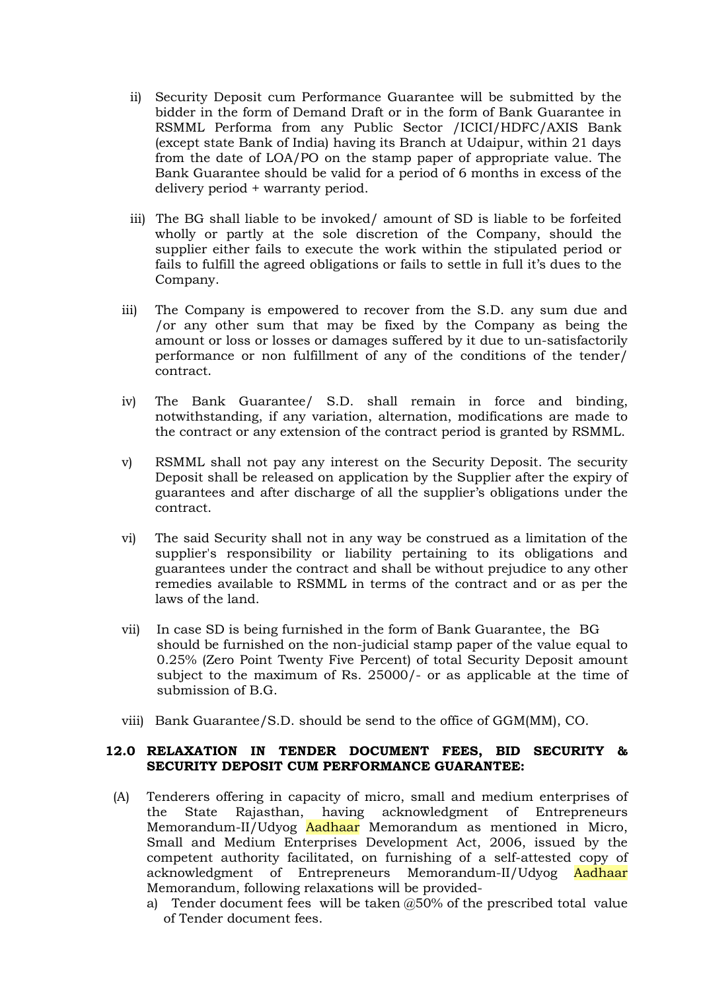- ii) Security Deposit cum Performance Guarantee will be submitted by the bidder in the form of Demand Draft or in the form of Bank Guarantee in RSMML Performa from any Public Sector /ICICI/HDFC/AXIS Bank (except state Bank of India) having its Branch at Udaipur, within 21 days from the date of LOA/PO on the stamp paper of appropriate value. The Bank Guarantee should be valid for a period of 6 months in excess of the delivery period + warranty period.
- iii) The BG shall liable to be invoked/ amount of SD is liable to be forfeited wholly or partly at the sole discretion of the Company, should the supplier either fails to execute the work within the stipulated period or fails to fulfill the agreed obligations or fails to settle in full it's dues to the Company.
- iii) The Company is empowered to recover from the S.D. any sum due and /or any other sum that may be fixed by the Company as being the amount or loss or losses or damages suffered by it due to un-satisfactorily performance or non fulfillment of any of the conditions of the tender/ contract.
- iv) The Bank Guarantee/ S.D. shall remain in force and binding, notwithstanding, if any variation, alternation, modifications are made to the contract or any extension of the contract period is granted by RSMML.
- v) RSMML shall not pay any interest on the Security Deposit. The security Deposit shall be released on application by the Supplier after the expiry of guarantees and after discharge of all the supplier's obligations under the contract.
- vi) The said Security shall not in any way be construed as a limitation of the supplier's responsibility or liability pertaining to its obligations and guarantees under the contract and shall be without prejudice to any other remedies available to RSMML in terms of the contract and or as per the laws of the land.
- vii) In case SD is being furnished in the form of Bank Guarantee, the BG should be furnished on the non-judicial stamp paper of the value equal to 0.25% (Zero Point Twenty Five Percent) of total Security Deposit amount subject to the maximum of Rs. 25000/- or as applicable at the time of submission of B.G.
- viii) Bank Guarantee/S.D. should be send to the office of GGM(MM), CO.

### 12.0 RELAXATION IN TENDER DOCUMENT FEES, BID SECURITY & SECURITY DEPOSIT CUM PERFORMANCE GUARANTEE:

- (A) Tenderers offering in capacity of micro, small and medium enterprises of the State Rajasthan, having acknowledgment of Entrepreneurs Memorandum-II/Udyog Aadhaar Memorandum as mentioned in Micro, Small and Medium Enterprises Development Act, 2006, issued by the competent authority facilitated, on furnishing of a self-attested copy of acknowledgment of Entrepreneurs Memorandum-II/Udyog Aadhaar Memorandum, following relaxations will be provided
	- a) Tender document fees will be taken @50% of the prescribed total value of Tender document fees.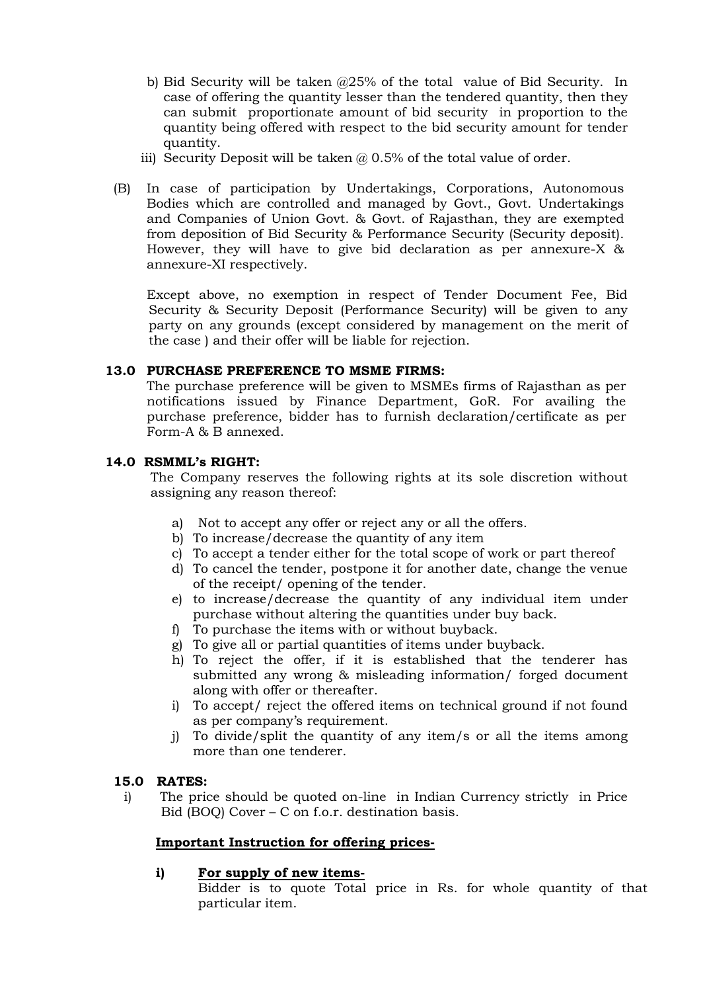- b) Bid Security will be taken @25% of the total value of Bid Security. In case of offering the quantity lesser than the tendered quantity, then they can submit proportionate amount of bid security in proportion to the quantity being offered with respect to the bid security amount for tender quantity.
- iii) Security Deposit will be taken  $\omega$  0.5% of the total value of order.
- (B) In case of participation by Undertakings, Corporations, Autonomous Bodies which are controlled and managed by Govt., Govt. Undertakings and Companies of Union Govt. & Govt. of Rajasthan, they are exempted from deposition of Bid Security & Performance Security (Security deposit). However, they will have to give bid declaration as per annexure-X & annexure-XI respectively.

Except above, no exemption in respect of Tender Document Fee, Bid Security & Security Deposit (Performance Security) will be given to any party on any grounds (except considered by management on the merit of the case ) and their offer will be liable for rejection.

# 13.0 PURCHASE PREFERENCE TO MSME FIRMS:

The purchase preference will be given to MSMEs firms of Rajasthan as per notifications issued by Finance Department, GoR. For availing the purchase preference, bidder has to furnish declaration/certificate as per Form-A & B annexed.

# 14.0 RSMML's RIGHT:

The Company reserves the following rights at its sole discretion without assigning any reason thereof:

- a) Not to accept any offer or reject any or all the offers.
- b) To increase/decrease the quantity of any item
- c) To accept a tender either for the total scope of work or part thereof
- d) To cancel the tender, postpone it for another date, change the venue of the receipt/ opening of the tender.
- e) to increase/decrease the quantity of any individual item under purchase without altering the quantities under buy back.
- f) To purchase the items with or without buyback.
- g) To give all or partial quantities of items under buyback.
- h) To reject the offer, if it is established that the tenderer has submitted any wrong & misleading information/ forged document along with offer or thereafter.
- i) To accept/ reject the offered items on technical ground if not found as per company's requirement.
- j) To divide/split the quantity of any item/s or all the items among more than one tenderer.

# 15.0 RATES:

i) The price should be quoted on-line in Indian Currency strictly in Price Bid (BOQ) Cover – C on f.o.r. destination basis.

# Important Instruction for offering prices-

# i) For supply of new items-

Bidder is to quote Total price in Rs. for whole quantity of that particular item.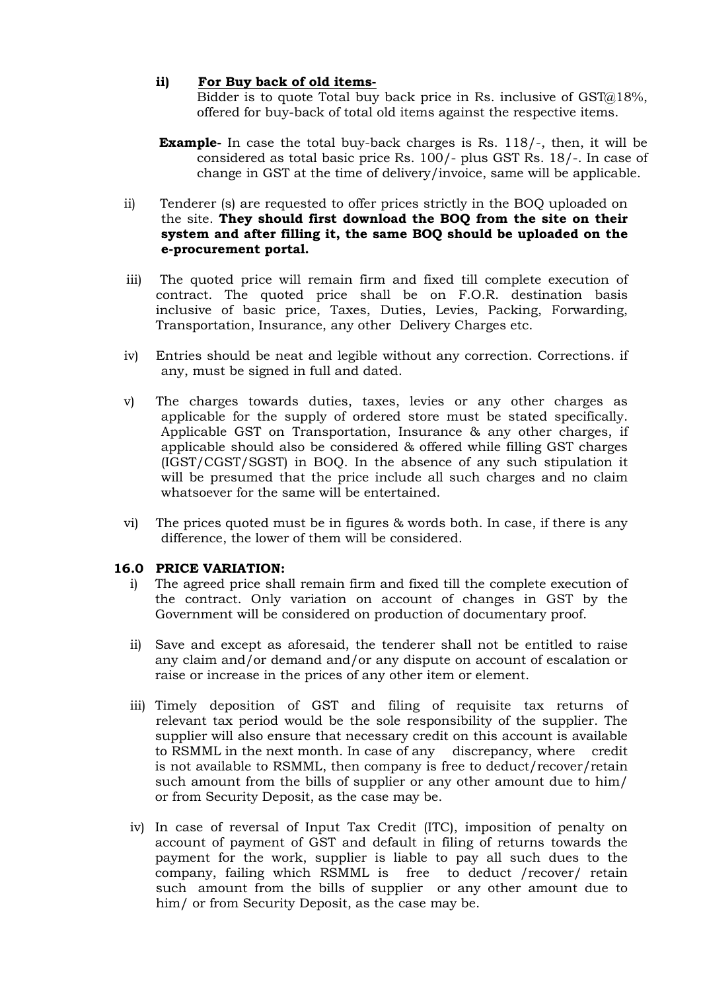# ii) For Buy back of old items-

Bidder is to quote Total buy back price in Rs. inclusive of GST@18%, offered for buy-back of total old items against the respective items.

- **Example-** In case the total buy-back charges is Rs. 118/-, then, it will be considered as total basic price Rs. 100/- plus GST Rs. 18/-. In case of change in GST at the time of delivery/invoice, same will be applicable.
- ii) Tenderer (s) are requested to offer prices strictly in the BOQ uploaded on the site. They should first download the BOQ from the site on their system and after filling it, the same BOQ should be uploaded on the e-procurement portal.
- iii) The quoted price will remain firm and fixed till complete execution of contract. The quoted price shall be on F.O.R. destination basis inclusive of basic price, Taxes, Duties, Levies, Packing, Forwarding, Transportation, Insurance, any other Delivery Charges etc.
- iv) Entries should be neat and legible without any correction. Corrections. if any, must be signed in full and dated.
- v) The charges towards duties, taxes, levies or any other charges as applicable for the supply of ordered store must be stated specifically. Applicable GST on Transportation, Insurance & any other charges, if applicable should also be considered & offered while filling GST charges (IGST/CGST/SGST) in BOQ. In the absence of any such stipulation it will be presumed that the price include all such charges and no claim whatsoever for the same will be entertained.
- vi) The prices quoted must be in figures & words both. In case, if there is any difference, the lower of them will be considered.

# 16.0 PRICE VARIATION:

- i) The agreed price shall remain firm and fixed till the complete execution of the contract. Only variation on account of changes in GST by the Government will be considered on production of documentary proof.
- ii) Save and except as aforesaid, the tenderer shall not be entitled to raise any claim and/or demand and/or any dispute on account of escalation or raise or increase in the prices of any other item or element.
- iii) Timely deposition of GST and filing of requisite tax returns of relevant tax period would be the sole responsibility of the supplier. The supplier will also ensure that necessary credit on this account is available to RSMML in the next month. In case of any discrepancy, where credit is not available to RSMML, then company is free to deduct/recover/retain such amount from the bills of supplier or any other amount due to him/ or from Security Deposit, as the case may be.
- iv) In case of reversal of Input Tax Credit (ITC), imposition of penalty on account of payment of GST and default in filing of returns towards the payment for the work, supplier is liable to pay all such dues to the company, failing which RSMML is free to deduct /recover/ retain such amount from the bills of supplier or any other amount due to him/ or from Security Deposit, as the case may be.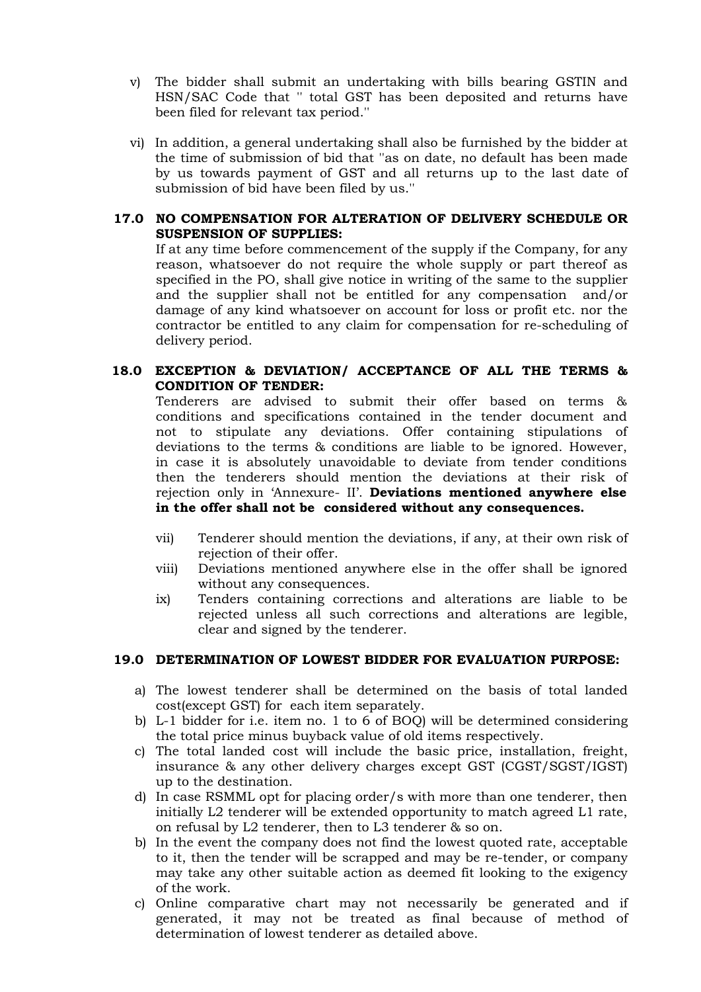- v) The bidder shall submit an undertaking with bills bearing GSTIN and HSN/SAC Code that '' total GST has been deposited and returns have been filed for relevant tax period.''
- vi) In addition, a general undertaking shall also be furnished by the bidder at the time of submission of bid that ''as on date, no default has been made by us towards payment of GST and all returns up to the last date of submission of bid have been filed by us.''

### 17.0 NO COMPENSATION FOR ALTERATION OF DELIVERY SCHEDULE OR SUSPENSION OF SUPPLIES:

If at any time before commencement of the supply if the Company, for any reason, whatsoever do not require the whole supply or part thereof as specified in the PO, shall give notice in writing of the same to the supplier and the supplier shall not be entitled for any compensation and/or damage of any kind whatsoever on account for loss or profit etc. nor the contractor be entitled to any claim for compensation for re-scheduling of delivery period.

### 18.0 EXCEPTION & DEVIATION/ ACCEPTANCE OF ALL THE TERMS & CONDITION OF TENDER:

Tenderers are advised to submit their offer based on terms & conditions and specifications contained in the tender document and not to stipulate any deviations. Offer containing stipulations of deviations to the terms & conditions are liable to be ignored. However, in case it is absolutely unavoidable to deviate from tender conditions then the tenderers should mention the deviations at their risk of rejection only in 'Annexure- II'. Deviations mentioned anywhere else in the offer shall not be considered without any consequences.

- vii) Tenderer should mention the deviations, if any, at their own risk of rejection of their offer.
- viii) Deviations mentioned anywhere else in the offer shall be ignored without any consequences.
- ix) Tenders containing corrections and alterations are liable to be rejected unless all such corrections and alterations are legible, clear and signed by the tenderer.

# 19.0 DETERMINATION OF LOWEST BIDDER FOR EVALUATION PURPOSE:

- a) The lowest tenderer shall be determined on the basis of total landed cost(except GST) for each item separately.
- b) L-1 bidder for i.e. item no. 1 to 6 of BOQ) will be determined considering the total price minus buyback value of old items respectively.
- c) The total landed cost will include the basic price, installation, freight, insurance & any other delivery charges except GST (CGST/SGST/IGST) up to the destination.
- d) In case RSMML opt for placing order/s with more than one tenderer, then initially L2 tenderer will be extended opportunity to match agreed L1 rate, on refusal by L2 tenderer, then to L3 tenderer & so on.
- b) In the event the company does not find the lowest quoted rate, acceptable to it, then the tender will be scrapped and may be re-tender, or company may take any other suitable action as deemed fit looking to the exigency of the work.
- c) Online comparative chart may not necessarily be generated and if generated, it may not be treated as final because of method of determination of lowest tenderer as detailed above.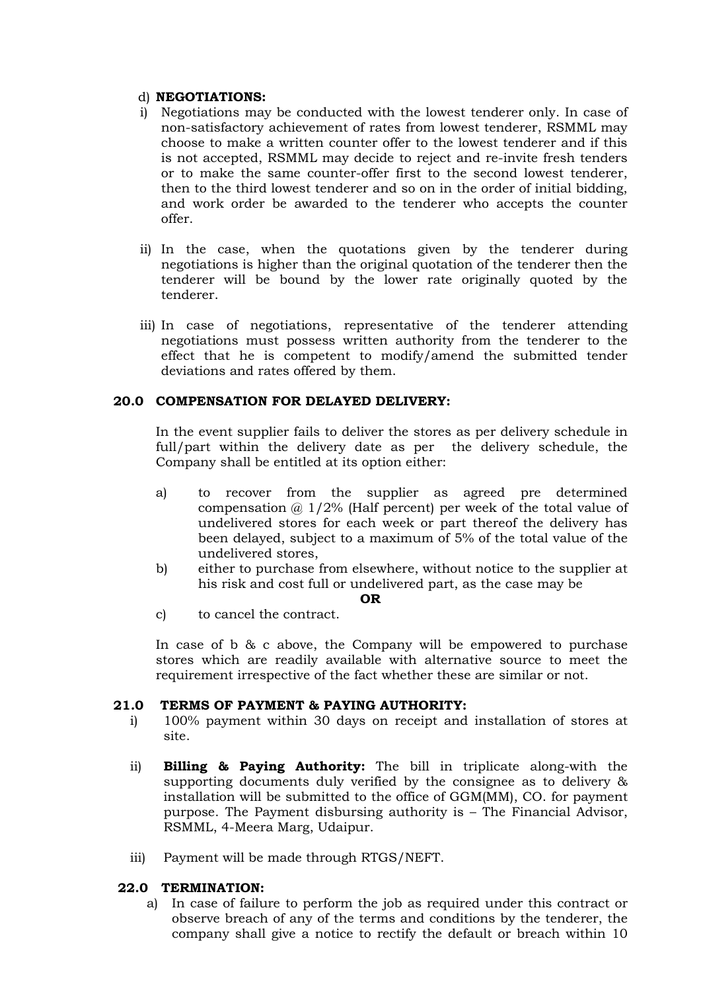#### d) NEGOTIATIONS:

- i) Negotiations may be conducted with the lowest tenderer only. In case of non-satisfactory achievement of rates from lowest tenderer, RSMML may choose to make a written counter offer to the lowest tenderer and if this is not accepted, RSMML may decide to reject and re-invite fresh tenders or to make the same counter-offer first to the second lowest tenderer, then to the third lowest tenderer and so on in the order of initial bidding, and work order be awarded to the tenderer who accepts the counter offer.
- ii) In the case, when the quotations given by the tenderer during negotiations is higher than the original quotation of the tenderer then the tenderer will be bound by the lower rate originally quoted by the tenderer.
- iii) In case of negotiations, representative of the tenderer attending negotiations must possess written authority from the tenderer to the effect that he is competent to modify/amend the submitted tender deviations and rates offered by them.

### 20.0 COMPENSATION FOR DELAYED DELIVERY:

In the event supplier fails to deliver the stores as per delivery schedule in full/part within the delivery date as per the delivery schedule, the Company shall be entitled at its option either:

- a) to recover from the supplier as agreed pre determined compensation  $\omega$  1/2% (Half percent) per week of the total value of undelivered stores for each week or part thereof the delivery has been delayed, subject to a maximum of 5% of the total value of the undelivered stores,
- b) either to purchase from elsewhere, without notice to the supplier at his risk and cost full or undelivered part, as the case may be

#### OR

c) to cancel the contract.

In case of b & c above, the Company will be empowered to purchase stores which are readily available with alternative source to meet the requirement irrespective of the fact whether these are similar or not.

# 21.0 TERMS OF PAYMENT & PAYING AUTHORITY:

- i) 100% payment within 30 days on receipt and installation of stores at site.
- ii) Billing & Paying Authority: The bill in triplicate along-with the supporting documents duly verified by the consignee as to delivery & installation will be submitted to the office of GGM(MM), CO. for payment purpose. The Payment disbursing authority is – The Financial Advisor, RSMML, 4-Meera Marg, Udaipur.
- iii) Payment will be made through RTGS/NEFT.

#### 22.0 TERMINATION:

a) In case of failure to perform the job as required under this contract or observe breach of any of the terms and conditions by the tenderer, the company shall give a notice to rectify the default or breach within 10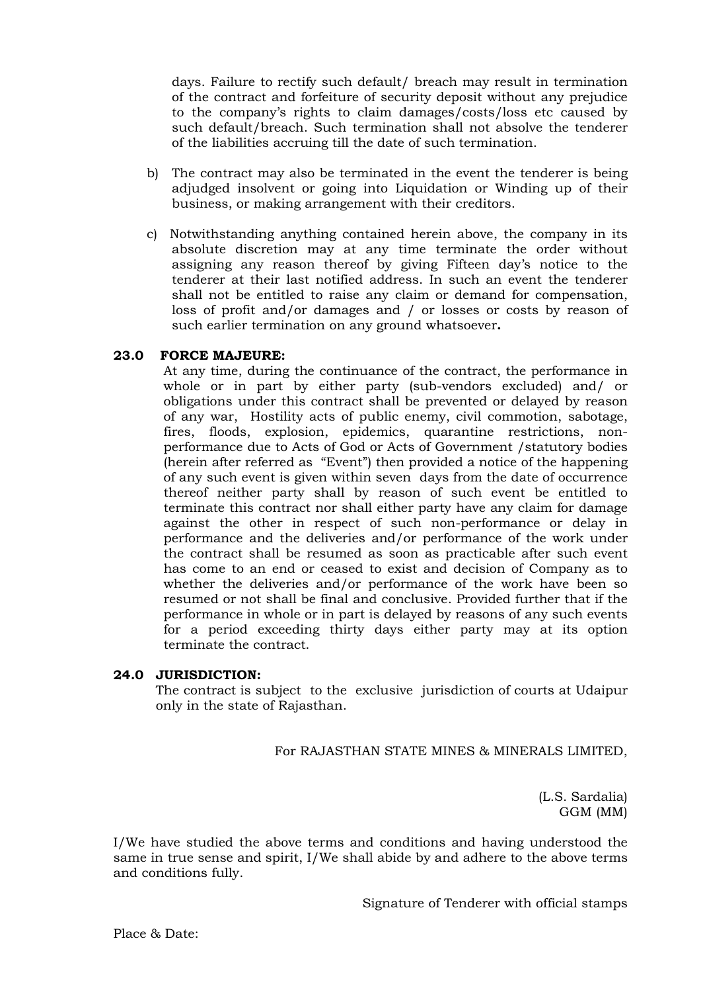days. Failure to rectify such default/ breach may result in termination of the contract and forfeiture of security deposit without any prejudice to the company's rights to claim damages/costs/loss etc caused by such default/breach. Such termination shall not absolve the tenderer of the liabilities accruing till the date of such termination.

- b) The contract may also be terminated in the event the tenderer is being adjudged insolvent or going into Liquidation or Winding up of their business, or making arrangement with their creditors.
- c) Notwithstanding anything contained herein above, the company in its absolute discretion may at any time terminate the order without assigning any reason thereof by giving Fifteen day's notice to the tenderer at their last notified address. In such an event the tenderer shall not be entitled to raise any claim or demand for compensation, loss of profit and/or damages and / or losses or costs by reason of such earlier termination on any ground whatsoever.

### 23.0 FORCE MAJEURE:

At any time, during the continuance of the contract, the performance in whole or in part by either party (sub-vendors excluded) and/ or obligations under this contract shall be prevented or delayed by reason of any war, Hostility acts of public enemy, civil commotion, sabotage, fires, floods, explosion, epidemics, quarantine restrictions, nonperformance due to Acts of God or Acts of Government /statutory bodies (herein after referred as "Event") then provided a notice of the happening of any such event is given within seven days from the date of occurrence thereof neither party shall by reason of such event be entitled to terminate this contract nor shall either party have any claim for damage against the other in respect of such non-performance or delay in performance and the deliveries and/or performance of the work under the contract shall be resumed as soon as practicable after such event has come to an end or ceased to exist and decision of Company as to whether the deliveries and/or performance of the work have been so resumed or not shall be final and conclusive. Provided further that if the performance in whole or in part is delayed by reasons of any such events for a period exceeding thirty days either party may at its option terminate the contract.

#### 24.0 JURISDICTION:

The contract is subject to the exclusive jurisdiction of courts at Udaipur only in the state of Rajasthan.

For RAJASTHAN STATE MINES & MINERALS LIMITED,

(L.S. Sardalia) GGM (MM)

I/We have studied the above terms and conditions and having understood the same in true sense and spirit, I/We shall abide by and adhere to the above terms and conditions fully.

Signature of Tenderer with official stamps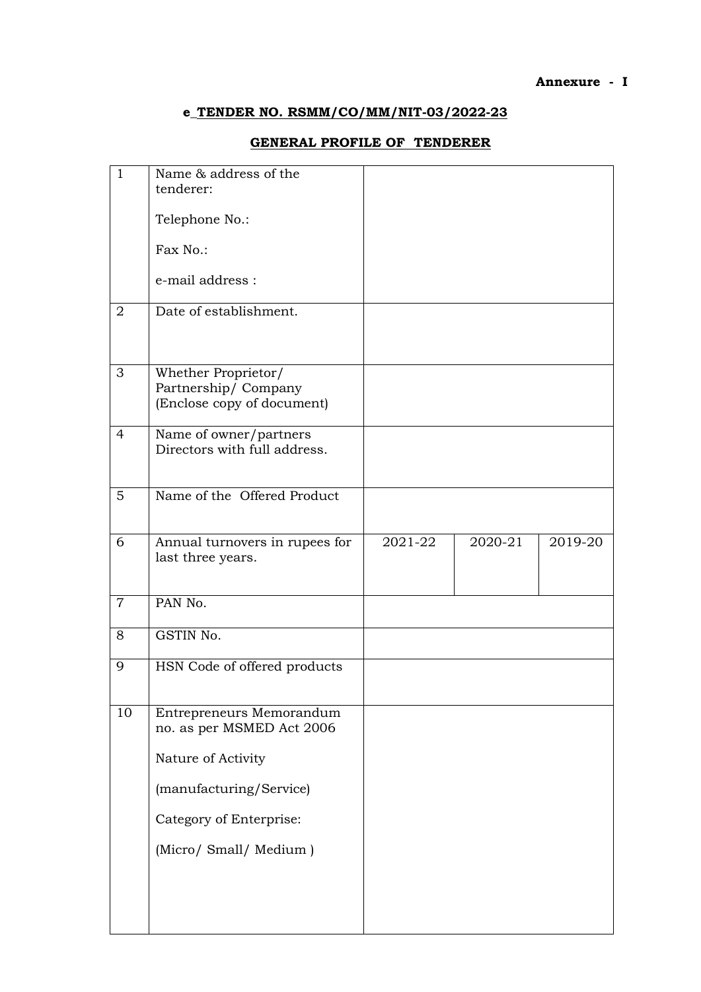### Annexure - I

# e\_TENDER NO. RSMM/CO/MM/NIT-03/2022-23

# GENERAL PROFILE OF TENDERER

| $\mathbf{1}$    | Name & address of the                                                    |         |         |         |
|-----------------|--------------------------------------------------------------------------|---------|---------|---------|
|                 | tenderer:                                                                |         |         |         |
|                 | Telephone No.:                                                           |         |         |         |
|                 | Fax No.:                                                                 |         |         |         |
|                 | e-mail address :                                                         |         |         |         |
| $\overline{2}$  | Date of establishment.                                                   |         |         |         |
| 3               | Whether Proprietor/<br>Partnership/Company<br>(Enclose copy of document) |         |         |         |
| 4               | Name of owner/partners<br>Directors with full address.                   |         |         |         |
| $5\overline{)}$ | Name of the Offered Product                                              |         |         |         |
| 6               | Annual turnovers in rupees for<br>last three years.                      | 2021-22 | 2020-21 | 2019-20 |
| $\overline{7}$  | PAN No.                                                                  |         |         |         |
| 8               | GSTIN No.                                                                |         |         |         |
| 9               | HSN Code of offered products                                             |         |         |         |
| 10              | Entrepreneurs Memorandum<br>no. as per MSMED Act 2006                    |         |         |         |
|                 | Nature of Activity                                                       |         |         |         |
|                 | (manufacturing/Service)                                                  |         |         |         |
|                 | Category of Enterprise:                                                  |         |         |         |
|                 | (Micro/ Small/ Medium)                                                   |         |         |         |
|                 |                                                                          |         |         |         |
|                 |                                                                          |         |         |         |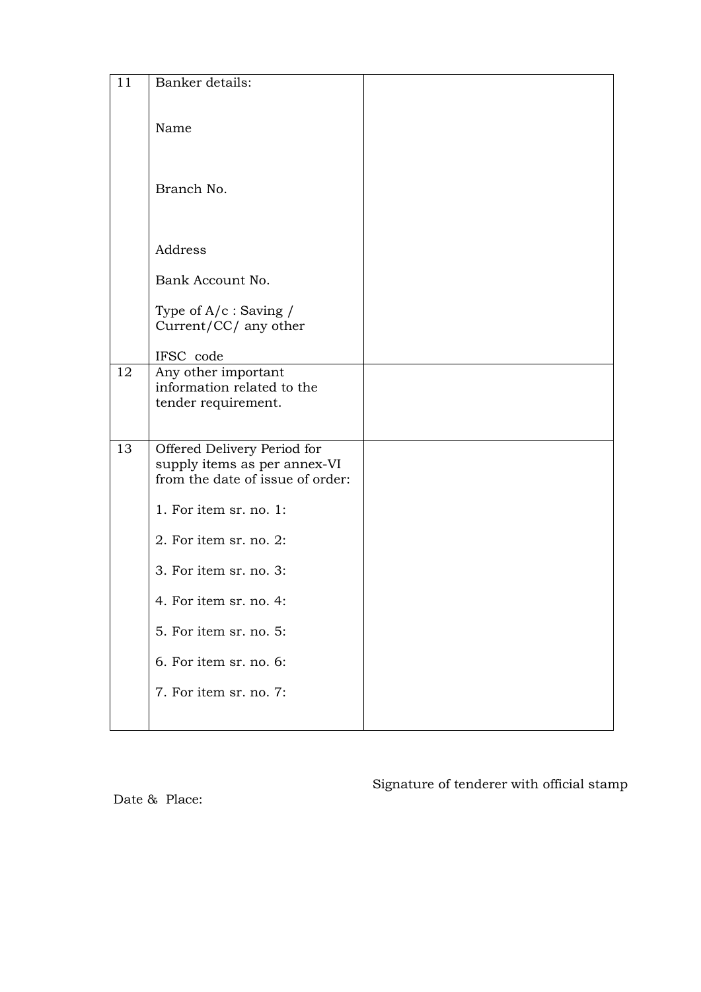| 11 | Banker details:                  |  |
|----|----------------------------------|--|
|    |                                  |  |
|    |                                  |  |
|    | Name                             |  |
|    |                                  |  |
|    |                                  |  |
|    |                                  |  |
|    | Branch No.                       |  |
|    |                                  |  |
|    |                                  |  |
|    |                                  |  |
|    | Address                          |  |
|    | Bank Account No.                 |  |
|    |                                  |  |
|    | Type of $A/c$ : Saving /         |  |
|    | Current/CC/ any other            |  |
|    |                                  |  |
|    | IFSC code                        |  |
| 12 | Any other important              |  |
|    | information related to the       |  |
|    | tender requirement.              |  |
|    |                                  |  |
| 13 | Offered Delivery Period for      |  |
|    | supply items as per annex-VI     |  |
|    | from the date of issue of order: |  |
|    |                                  |  |
|    | 1. For item sr. no. 1:           |  |
|    |                                  |  |
|    | 2. For item sr. no. 2:           |  |
|    | 3. For item sr. no. 3:           |  |
|    |                                  |  |
|    | 4. For item sr. no. 4:           |  |
|    |                                  |  |
|    | 5. For item sr. no. 5:           |  |
|    | 6. For item sr. no. 6:           |  |
|    | 7. For item sr. no. 7:           |  |
|    |                                  |  |
|    |                                  |  |

Date & Place:

Signature of tenderer with official stamp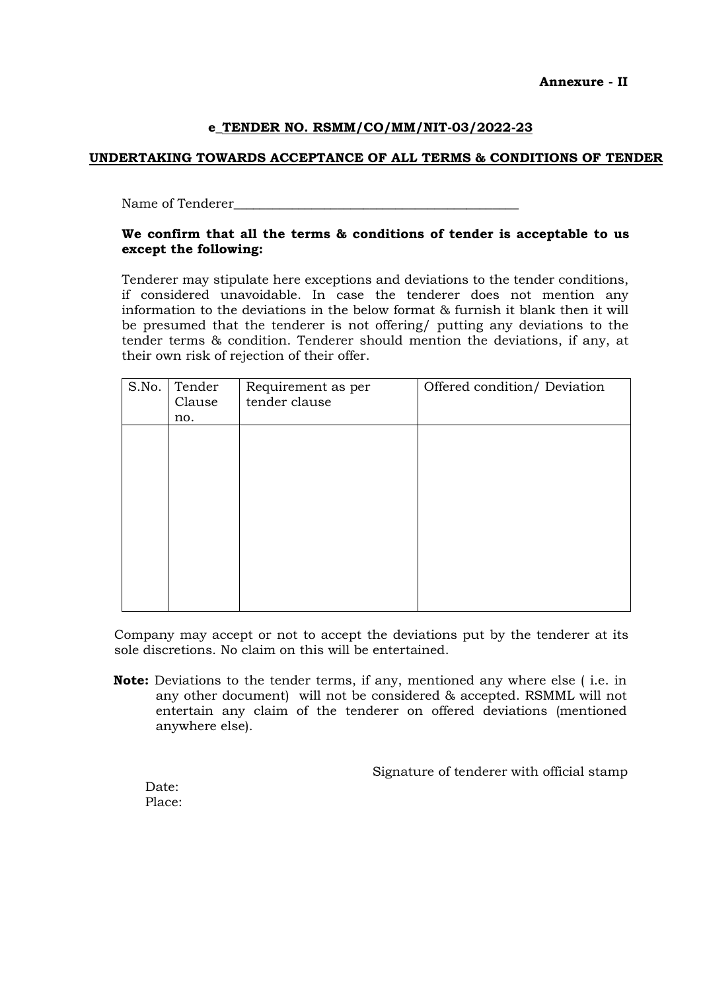Annexure - II

### e\_TENDER NO. RSMM/CO/MM/NIT-03/2022-23

### UNDERTAKING TOWARDS ACCEPTANCE OF ALL TERMS & CONDITIONS OF TENDER

Name of Tenderer

#### We confirm that all the terms & conditions of tender is acceptable to us except the following:

Tenderer may stipulate here exceptions and deviations to the tender conditions, if considered unavoidable. In case the tenderer does not mention any information to the deviations in the below format & furnish it blank then it will be presumed that the tenderer is not offering/ putting any deviations to the tender terms & condition. Tenderer should mention the deviations, if any, at their own risk of rejection of their offer.

| S.No. | Tender<br>Clause<br>no. | Requirement as per<br>tender clause | Offered condition/ Deviation |
|-------|-------------------------|-------------------------------------|------------------------------|
|       |                         |                                     |                              |
|       |                         |                                     |                              |
|       |                         |                                     |                              |
|       |                         |                                     |                              |
|       |                         |                                     |                              |

Company may accept or not to accept the deviations put by the tenderer at its sole discretions. No claim on this will be entertained.

Note: Deviations to the tender terms, if any, mentioned any where else ( i.e. in any other document) will not be considered & accepted. RSMML will not entertain any claim of the tenderer on offered deviations (mentioned anywhere else).

Signature of tenderer with official stamp

Date: Place: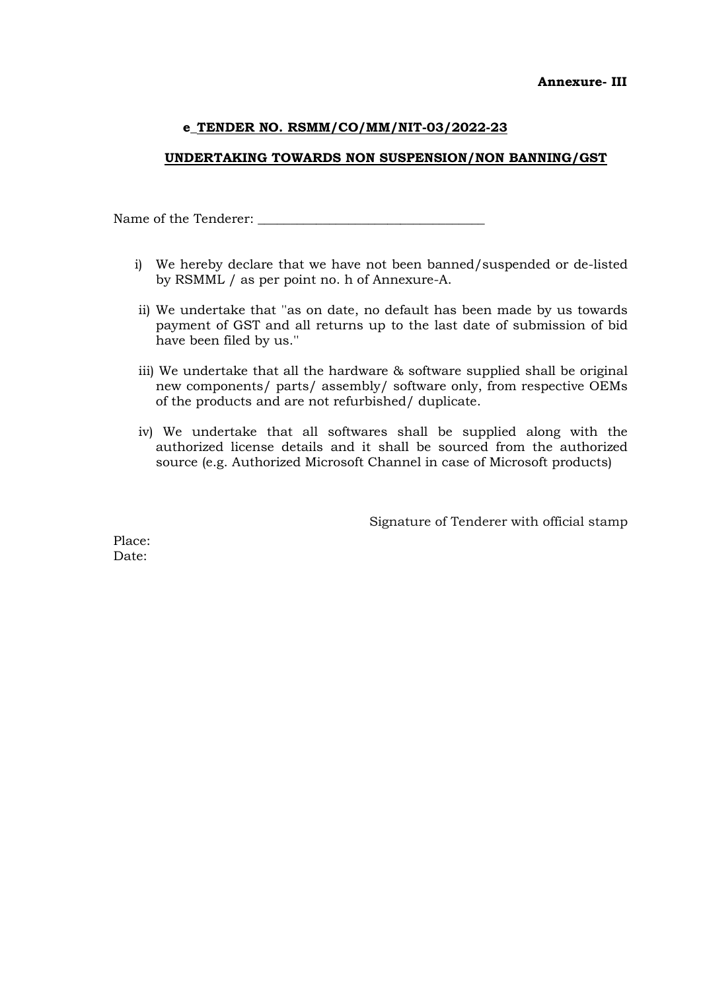### UNDERTAKING TOWARDS NON SUSPENSION/NON BANNING/GST

Name of the Tenderer: \_\_\_\_\_\_\_\_\_\_\_\_\_\_\_\_\_\_\_\_\_\_\_\_\_\_\_\_\_\_\_\_\_\_\_

- i) We hereby declare that we have not been banned/suspended or de-listed by RSMML / as per point no. h of Annexure-A.
- ii) We undertake that ''as on date, no default has been made by us towards payment of GST and all returns up to the last date of submission of bid have been filed by us.''
- iii) We undertake that all the hardware & software supplied shall be original new components/ parts/ assembly/ software only, from respective OEMs of the products and are not refurbished/ duplicate.
- iv) We undertake that all softwares shall be supplied along with the authorized license details and it shall be sourced from the authorized source (e.g. Authorized Microsoft Channel in case of Microsoft products)

Signature of Tenderer with official stamp

Place: Date: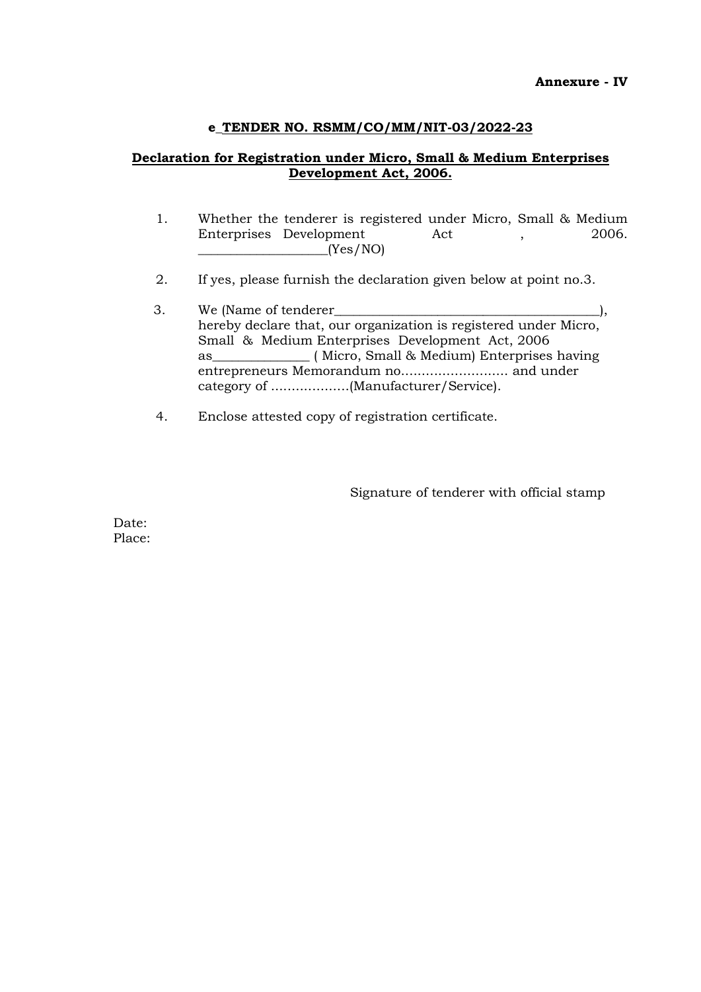# Declaration for Registration under Micro, Small & Medium Enterprises Development Act, 2006.

- 1. Whether the tenderer is registered under Micro, Small & Medium Enterprises Development Act , 2006. \_\_\_\_\_\_\_\_\_\_\_\_\_\_\_\_\_\_\_\_(Yes/NO)
- 2. If yes, please furnish the declaration given below at point no.3.
- 3. We (Name of tenderer\_\_\_\_\_\_\_\_\_\_\_\_\_\_\_\_\_\_\_\_\_\_\_\_\_\_\_\_\_\_\_\_\_\_\_\_\_\_\_\_\_), hereby declare that, our organization is registered under Micro, Small & Medium Enterprises Development Act, 2006 as (Micro, Small & Medium) Enterprises having entrepreneurs Memorandum no.......................... and under category of ...................(Manufacturer/Service).
- 4. Enclose attested copy of registration certificate.

Signature of tenderer with official stamp

Date: Place: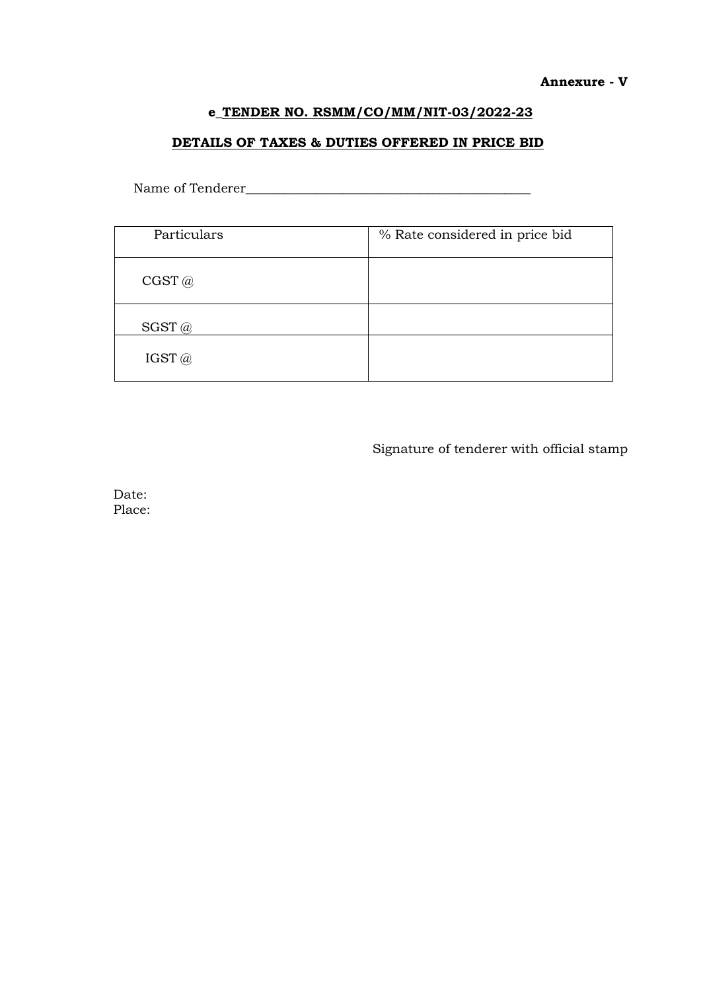#### Annexure - V

# e\_TENDER NO. RSMM/CO/MM/NIT-03/2022-23

# DETAILS OF TAXES & DUTIES OFFERED IN PRICE BID

Name of Tenderer\_\_\_\_\_\_\_\_\_\_\_\_\_\_\_\_\_\_\_\_\_\_\_\_\_\_\_\_\_\_\_\_\_\_\_\_\_\_\_\_\_\_\_\_

| Particulars | % Rate considered in price bid |
|-------------|--------------------------------|
| CGST@       |                                |
| $SGST$ $@$  |                                |
| IGST $@$    |                                |

Signature of tenderer with official stamp

Date: Place: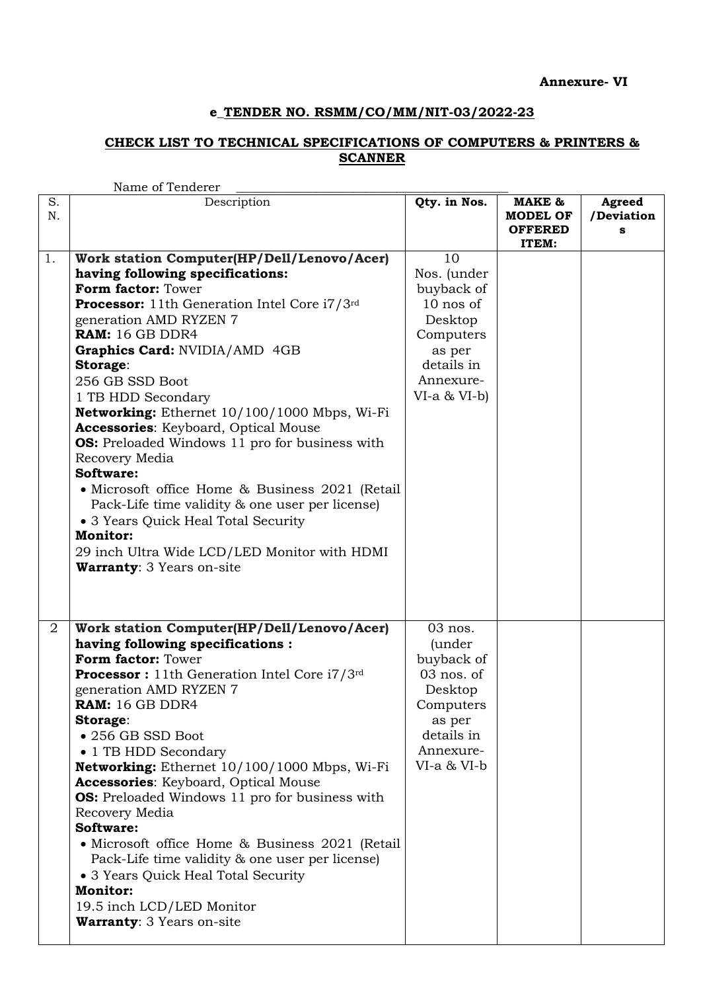### CHECK LIST TO TECHNICAL SPECIFICATIONS OF COMPUTERS & PRINTERS & **SCANNER**

|          | Name of Tenderer                                                                                                                                                                                                                                                                                                                                                                                                                                                                                                                                                                                                                                                                                                                   |                                                                                                                                   |                                                      |                           |
|----------|------------------------------------------------------------------------------------------------------------------------------------------------------------------------------------------------------------------------------------------------------------------------------------------------------------------------------------------------------------------------------------------------------------------------------------------------------------------------------------------------------------------------------------------------------------------------------------------------------------------------------------------------------------------------------------------------------------------------------------|-----------------------------------------------------------------------------------------------------------------------------------|------------------------------------------------------|---------------------------|
| S.<br>N. | Description                                                                                                                                                                                                                                                                                                                                                                                                                                                                                                                                                                                                                                                                                                                        | Qty. in Nos.                                                                                                                      | MAKE &<br><b>MODEL OF</b><br><b>OFFERED</b><br>ITEM: | Agreed<br>/Deviation<br>s |
| 1.       | Work station Computer(HP/Dell/Lenovo/Acer)<br>having following specifications:<br>Form factor: Tower<br><b>Processor:</b> 11th Generation Intel Core i7/3rd<br>generation AMD RYZEN 7<br>RAM: 16 GB DDR4<br>Graphics Card: NVIDIA/AMD 4GB<br>Storage:<br>256 GB SSD Boot<br>1 TB HDD Secondary<br>Networking: Ethernet 10/100/1000 Mbps, Wi-Fi<br>Accessories: Keyboard, Optical Mouse<br><b>OS:</b> Preloaded Windows 11 pro for business with<br>Recovery Media<br>Software:<br>• Microsoft office Home & Business 2021 (Retail<br>Pack-Life time validity & one user per license)<br>• 3 Years Quick Heal Total Security<br><b>Monitor:</b><br>29 inch Ultra Wide LCD/LED Monitor with HDMI<br><b>Warranty: 3 Years on-site</b> | 10<br>Nos. (under<br>buyback of<br>10 nos of<br>Desktop<br>Computers<br>as per<br>details in<br>Annexure-<br>$VI-a & VI-b$        |                                                      |                           |
| 2        | Work station Computer(HP/Dell/Lenovo/Acer)<br>having following specifications :<br>Form factor: Tower<br><b>Processor</b> : 11th Generation Intel Core $i7/3$ <sup>rd</sup><br>generation AMD RYZEN 7<br>RAM: 16 GB DDR4<br>Storage:<br>• 256 GB SSD Boot<br>• 1 TB HDD Secondary<br>Networking: Ethernet 10/100/1000 Mbps, Wi-Fi<br>Accessories: Keyboard, Optical Mouse<br><b>OS:</b> Preloaded Windows 11 pro for business with<br>Recovery Media<br>Software:<br>• Microsoft office Home & Business 2021 (Retail<br>Pack-Life time validity & one user per license)<br>• 3 Years Quick Heal Total Security<br><b>Monitor:</b><br>19.5 inch LCD/LED Monitor<br><b>Warranty: 3 Years on-site</b>                                 | 03 nos.<br><i>(under)</i><br>buyback of<br>03 nos. of<br>Desktop<br>Computers<br>as per<br>details in<br>Annexure-<br>VI-a & VI-b |                                                      |                           |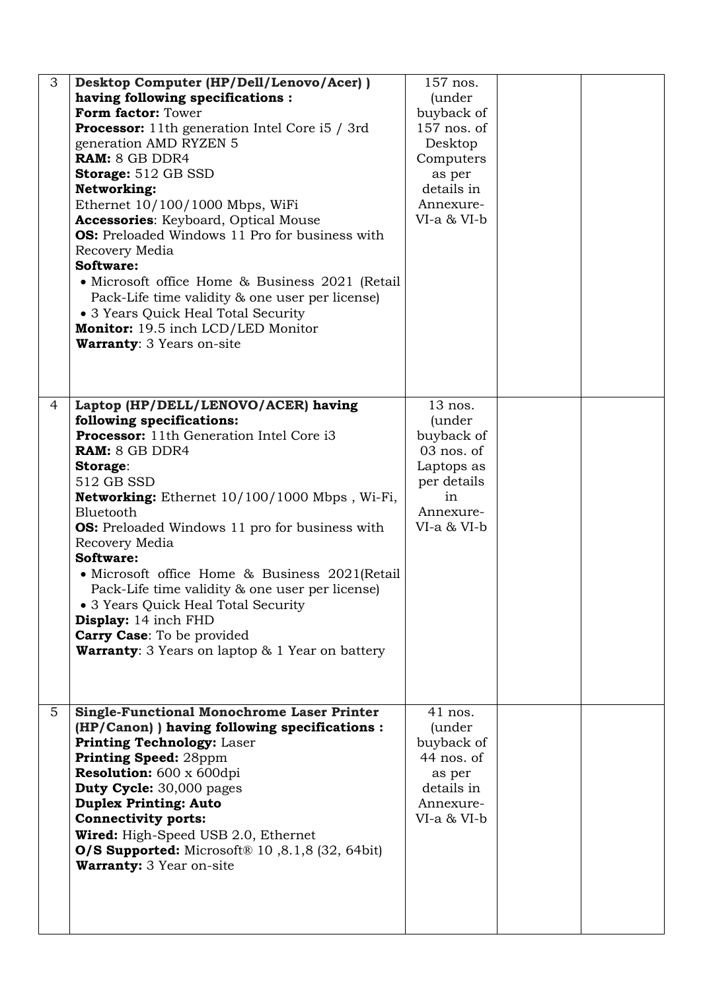| 3               | Desktop Computer (HP/Dell/Lenovo/Acer))<br>having following specifications :<br>Form factor: Tower<br><b>Processor:</b> 11th generation Intel Core i5 / 3rd<br>generation AMD RYZEN 5<br>RAM: 8 GB DDR4<br><b>Storage:</b> 512 GB SSD<br>Networking:<br>Ethernet $10/100/1000$ Mbps, WiFi<br>Accessories: Keyboard, Optical Mouse<br><b>OS:</b> Preloaded Windows 11 Pro for business with<br>Recovery Media<br>Software:<br>• Microsoft office Home & Business 2021 (Retail<br>Pack-Life time validity & one user per license)<br>• 3 Years Quick Heal Total Security<br>Monitor: 19.5 inch LCD/LED Monitor<br>Warranty: 3 Years on-site | 157 nos.<br><i>(under</i><br>buyback of<br>157 nos. of<br>Desktop<br>Computers<br>as per<br>details in<br>Annexure-<br>VI-a & VI-b |  |
|-----------------|-------------------------------------------------------------------------------------------------------------------------------------------------------------------------------------------------------------------------------------------------------------------------------------------------------------------------------------------------------------------------------------------------------------------------------------------------------------------------------------------------------------------------------------------------------------------------------------------------------------------------------------------|------------------------------------------------------------------------------------------------------------------------------------|--|
| 4               | Laptop (HP/DELL/LENOVO/ACER) having<br>following specifications:<br><b>Processor:</b> 11th Generation Intel Core i3<br>RAM: 8 GB DDR4<br>Storage:<br>512 GB SSD<br><b>Networking:</b> Ethernet 10/100/1000 Mbps, Wi-Fi,<br>Bluetooth<br><b>OS:</b> Preloaded Windows 11 pro for business with<br>Recovery Media<br>Software:<br>• Microsoft office Home & Business 2021(Retail<br>Pack-Life time validity & one user per license)<br>• 3 Years Quick Heal Total Security<br><b>Display:</b> 14 inch FHD<br><b>Carry Case:</b> To be provided<br><b>Warranty:</b> 3 Years on laptop & 1 Year on battery                                    | 13 nos.<br><i>(under)</i><br>buyback of<br>03 nos. of<br>Laptops as<br>per details<br>in<br>Annexure-<br>VI-a & VI-b               |  |
| $5\overline{)}$ | <b>Single-Functional Monochrome Laser Printer</b><br>(HP/Canon) ) having following specifications :<br><b>Printing Technology: Laser</b><br>Printing Speed: 28ppm<br>Resolution: 600 x 600dpi<br><b>Duty Cycle:</b> 30,000 pages<br><b>Duplex Printing: Auto</b><br><b>Connectivity ports:</b><br>Wired: High-Speed USB 2.0, Ethernet<br><b>O/S Supported:</b> Microsoft <sup>®</sup> 10,8.1,8 (32, 64bit)<br>Warranty: 3 Year on-site                                                                                                                                                                                                    | $41$ nos.<br><i>(under)</i><br>buyback of<br>$44$ nos. of<br>as per<br>details in<br>Annexure-<br>VI-a & VI-b                      |  |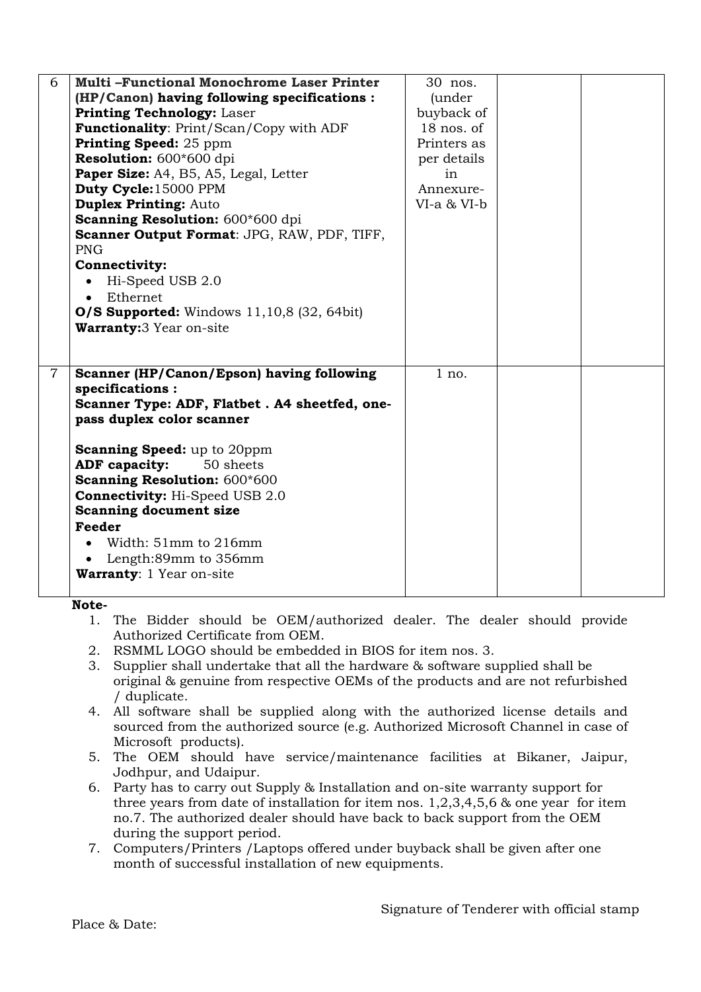| 6              | <b>Multi-Functional Monochrome Laser Printer</b>    | 30 nos.        |  |
|----------------|-----------------------------------------------------|----------------|--|
|                | (HP/Canon) having following specifications :        | <i>(under)</i> |  |
|                | <b>Printing Technology: Laser</b>                   | buyback of     |  |
|                | <b>Functionality: Print/Scan/Copy with ADF</b>      | $18$ nos. of   |  |
|                | <b>Printing Speed:</b> 25 ppm                       | Printers as    |  |
|                | Resolution: 600*600 dpi                             | per details    |  |
|                | Paper Size: A4, B5, A5, Legal, Letter               | in             |  |
|                | Duty Cycle:15000 PPM                                | Annexure-      |  |
|                | <b>Duplex Printing: Auto</b>                        | VI-a & VI-b    |  |
|                | Scanning Resolution: 600*600 dpi                    |                |  |
|                | Scanner Output Format: JPG, RAW, PDF, TIFF,         |                |  |
|                | <b>PNG</b>                                          |                |  |
|                | <b>Connectivity:</b>                                |                |  |
|                | Hi-Speed USB 2.0                                    |                |  |
|                | Ethernet                                            |                |  |
|                | <b>O/S Supported:</b> Windows $11,10,8$ (32, 64bit) |                |  |
|                | <b>Warranty:</b> 3 Year on-site                     |                |  |
|                |                                                     |                |  |
|                |                                                     |                |  |
| $\overline{7}$ | Scanner (HP/Canon/Epson) having following           | $1$ no.        |  |
|                | specifications:                                     |                |  |
|                | Scanner Type: ADF, Flatbet. A4 sheetfed, one-       |                |  |
|                | pass duplex color scanner                           |                |  |
|                |                                                     |                |  |
|                | <b>Scanning Speed:</b> up to 20ppm                  |                |  |
|                | ADF capacity:<br>50 sheets                          |                |  |
|                | <b>Scanning Resolution: 600*600</b>                 |                |  |
|                | <b>Connectivity: Hi-Speed USB 2.0</b>               |                |  |
|                | <b>Scanning document size</b>                       |                |  |
|                | <b>Feeder</b>                                       |                |  |
|                | Width: $51mm$ to $216mm$                            |                |  |
|                | Length:89mm to 356mm                                |                |  |
|                | <b>Warranty: 1 Year on-site</b>                     |                |  |
|                |                                                     |                |  |

Note-

- 1. The Bidder should be OEM/authorized dealer. The dealer should provide Authorized Certificate from OEM.
- 2. RSMML LOGO should be embedded in BIOS for item nos. 3.
- 3. Supplier shall undertake that all the hardware & software supplied shall be original & genuine from respective OEMs of the products and are not refurbished / duplicate.
- 4. All software shall be supplied along with the authorized license details and sourced from the authorized source (e.g. Authorized Microsoft Channel in case of Microsoft products).
- 5. The OEM should have service/maintenance facilities at Bikaner, Jaipur, Jodhpur, and Udaipur.
- 6. Party has to carry out Supply & Installation and on-site warranty support for three years from date of installation for item nos. 1,2,3,4,5,6 & one year for item no.7. The authorized dealer should have back to back support from the OEM during the support period.
- 7. Computers/Printers /Laptops offered under buyback shall be given after one month of successful installation of new equipments.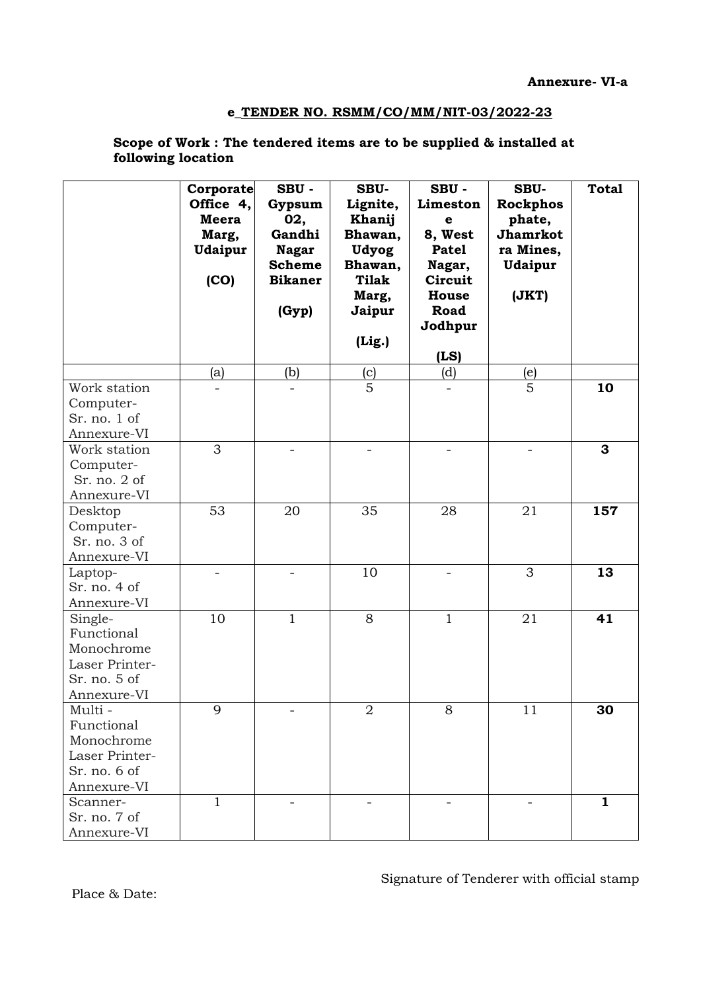### Scope of Work : The tendered items are to be supplied & installed at following location

|                                                                                      | Corporate<br>Office 4,<br>Meera<br>Marg,<br><b>Udaipur</b><br>(CO) | SBU-<br>Gypsum<br>02,<br>Gandhi<br><b>Nagar</b><br><b>Scheme</b><br><b>Bikaner</b><br>(Gyp) | SBU-<br>Lignite,<br>Khanij<br>Bhawan,<br><b>Udyog</b><br>Bhawan,<br><b>Tilak</b><br>Marg,<br>Jaipur | SBU-<br>Limeston<br>e<br>8, West<br><b>Patel</b><br>Nagar,<br>Circuit<br>House<br>Road | SBU-<br><b>Rockphos</b><br>phate,<br>Jhamrkot<br>ra Mines,<br>Udaipur<br>(JKT) | <b>Total</b> |
|--------------------------------------------------------------------------------------|--------------------------------------------------------------------|---------------------------------------------------------------------------------------------|-----------------------------------------------------------------------------------------------------|----------------------------------------------------------------------------------------|--------------------------------------------------------------------------------|--------------|
|                                                                                      |                                                                    |                                                                                             | (Lig.)                                                                                              | Jodhpur                                                                                |                                                                                |              |
|                                                                                      |                                                                    |                                                                                             |                                                                                                     | (LS)                                                                                   |                                                                                |              |
|                                                                                      | (a)                                                                | (b)                                                                                         | (c)                                                                                                 | (d)                                                                                    | (e)                                                                            |              |
| Work station<br>Computer-<br>Sr. no. 1 of<br>Annexure-VI                             |                                                                    |                                                                                             | 5                                                                                                   |                                                                                        | 5                                                                              | 10           |
| Work station<br>Computer-<br>Sr. no. 2 of<br>Annexure-VI                             | 3                                                                  | $\qquad \qquad -$                                                                           |                                                                                                     | $\qquad \qquad -$                                                                      | $\overline{\phantom{a}}$                                                       | 3            |
| Desktop<br>Computer-<br>Sr. no. 3 of<br>Annexure-VI                                  | 53                                                                 | 20                                                                                          | 35                                                                                                  | 28                                                                                     | 21                                                                             | 157          |
| Laptop-<br>Sr. no. 4 of<br>Annexure-VI                                               |                                                                    |                                                                                             | 10                                                                                                  |                                                                                        | 3                                                                              | 13           |
| Single-<br>Functional<br>Monochrome<br>Laser Printer-<br>Sr. no. 5 of<br>Annexure-VI | 10                                                                 | $\mathbf{1}$                                                                                | 8                                                                                                   | $\mathbf{1}$                                                                           | 21                                                                             | 41           |
| Multi -<br>Functional<br>Monochrome<br>Laser Printer-<br>Sr. no. 6 of<br>Annexure-VI | 9                                                                  |                                                                                             | 2                                                                                                   | 8                                                                                      | 11                                                                             | 30           |
| Scanner-<br>Sr. no. 7 of<br>Annexure-VI                                              | $\mathbf{1}$                                                       |                                                                                             |                                                                                                     |                                                                                        |                                                                                | $\mathbf{1}$ |

Signature of Tenderer with official stamp

Place & Date: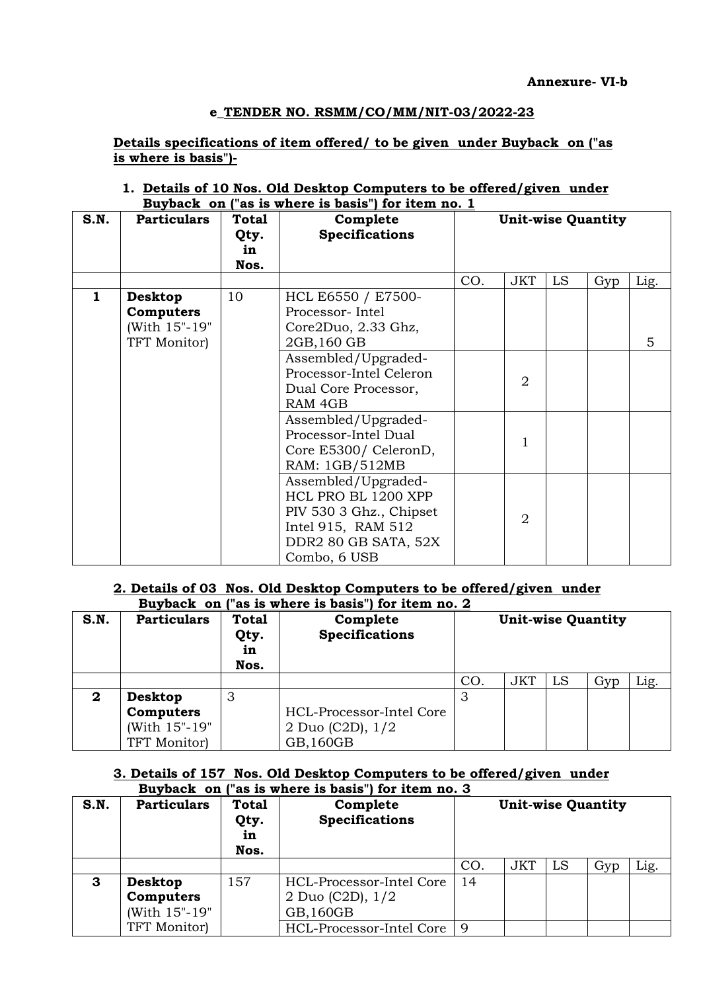Details specifications of item offered/ to be given under Buyback on ("as is where is basis")-

1. Details of 10 Nos. Old Desktop Computers to be offered/given under Buyback on ("as is where is basis") for item no. 1

| S.N.         | <b>Particulars</b> | Total | $\frac{1}{2}$ $\frac{1}{2}$ $\frac{1}{2}$ $\frac{1}{2}$ $\frac{1}{2}$ $\frac{1}{2}$ $\frac{1}{2}$ $\frac{1}{2}$ $\frac{1}{2}$ $\frac{1}{2}$ $\frac{1}{2}$ $\frac{1}{2}$ $\frac{1}{2}$ $\frac{1}{2}$ $\frac{1}{2}$ $\frac{1}{2}$ $\frac{1}{2}$ $\frac{1}{2}$ $\frac{1}{2}$ $\frac{1}{2}$ $\frac{1}{2}$ $\frac{1}{2}$<br>Complete |     |                | <b>Unit-wise Quantity</b> |     |      |
|--------------|--------------------|-------|---------------------------------------------------------------------------------------------------------------------------------------------------------------------------------------------------------------------------------------------------------------------------------------------------------------------------------|-----|----------------|---------------------------|-----|------|
|              |                    | Qty.  | <b>Specifications</b>                                                                                                                                                                                                                                                                                                           |     |                |                           |     |      |
|              |                    | in    |                                                                                                                                                                                                                                                                                                                                 |     |                |                           |     |      |
|              |                    | Nos.  |                                                                                                                                                                                                                                                                                                                                 |     |                |                           |     |      |
|              |                    |       |                                                                                                                                                                                                                                                                                                                                 | CO. | <b>JKT</b>     | <b>LS</b>                 | Gyp | Lig. |
| $\mathbf{1}$ | <b>Desktop</b>     | 10    | HCL E6550 / E7500-                                                                                                                                                                                                                                                                                                              |     |                |                           |     |      |
|              | Computers          |       | Processor-Intel                                                                                                                                                                                                                                                                                                                 |     |                |                           |     |      |
|              | (With 15"-19"      |       | Core2Duo, 2.33 Ghz,                                                                                                                                                                                                                                                                                                             |     |                |                           |     |      |
|              | TFT Monitor)       |       | 2GB, 160 GB                                                                                                                                                                                                                                                                                                                     |     |                |                           |     | 5    |
|              |                    |       | Assembled/Upgraded-                                                                                                                                                                                                                                                                                                             |     |                |                           |     |      |
|              |                    |       | Processor-Intel Celeron                                                                                                                                                                                                                                                                                                         |     | $\overline{2}$ |                           |     |      |
|              |                    |       | Dual Core Processor,                                                                                                                                                                                                                                                                                                            |     |                |                           |     |      |
|              |                    |       | RAM 4GB                                                                                                                                                                                                                                                                                                                         |     |                |                           |     |      |
|              |                    |       | Assembled/Upgraded-                                                                                                                                                                                                                                                                                                             |     |                |                           |     |      |
|              |                    |       | Processor-Intel Dual                                                                                                                                                                                                                                                                                                            |     | 1              |                           |     |      |
|              |                    |       | Core E5300/ CeleronD,                                                                                                                                                                                                                                                                                                           |     |                |                           |     |      |
|              |                    |       | RAM: 1GB/512MB                                                                                                                                                                                                                                                                                                                  |     |                |                           |     |      |
|              |                    |       | Assembled/Upgraded-                                                                                                                                                                                                                                                                                                             |     |                |                           |     |      |
|              |                    |       | HCL PRO BL 1200 XPP                                                                                                                                                                                                                                                                                                             |     |                |                           |     |      |
|              |                    |       | PIV 530 3 Ghz., Chipset                                                                                                                                                                                                                                                                                                         |     |                |                           |     |      |
|              |                    |       | Intel 915, RAM 512                                                                                                                                                                                                                                                                                                              |     | $\overline{2}$ |                           |     |      |
|              |                    |       | DDR2 80 GB SATA, 52X                                                                                                                                                                                                                                                                                                            |     |                |                           |     |      |
|              |                    |       | Combo, 6 USB                                                                                                                                                                                                                                                                                                                    |     |                |                           |     |      |

# 2. Details of 03 Nos. Old Desktop Computers to be offered/given under

|              |                    |                                    | Buyback on ("as is where is basis") for item no. 2 |                           |            |    |     |      |
|--------------|--------------------|------------------------------------|----------------------------------------------------|---------------------------|------------|----|-----|------|
| S.N.         | <b>Particulars</b> | <b>Total</b><br>Qty.<br>in<br>Nos. | Complete<br><b>Specifications</b>                  | <b>Unit-wise Quantity</b> |            |    |     |      |
|              |                    |                                    |                                                    | CO <sub>1</sub>           | <b>JKT</b> | LS | Gyp | Lig. |
| $\mathbf{2}$ | Desktop            | 3                                  |                                                    |                           |            |    |     |      |
|              | Computers          |                                    | HCL-Processor-Intel Core                           |                           |            |    |     |      |
|              | (With 15"-19"      |                                    | 2 Duo (C2D), $1/2$                                 |                           |            |    |     |      |
|              | TFT Monitor)       |                                    | GB, 160GB                                          |                           |            |    |     |      |

# 3. Details of 157 Nos. Old Desktop Computers to be offered/given under Buyback on ("as is where is basis") for item no. 3

| S.N. | <b>Particulars</b>                    | Total<br>Qty.<br>in<br>Nos. | Complete<br><b>Specifications</b>                           |     |     | <b>Unit-wise Quantity</b> |     |      |
|------|---------------------------------------|-----------------------------|-------------------------------------------------------------|-----|-----|---------------------------|-----|------|
|      |                                       |                             |                                                             | CO. | JKT | LS                        | Gyp | Lig. |
| 3    | Desktop<br>Computers<br>(With 15"-19" | 157                         | HCL-Processor-Intel Core<br>2 Duo (C2D), $1/2$<br>GB, 160GB | 14  |     |                           |     |      |
|      | TFT Monitor)                          |                             | HCL-Processor-Intel Core                                    | q   |     |                           |     |      |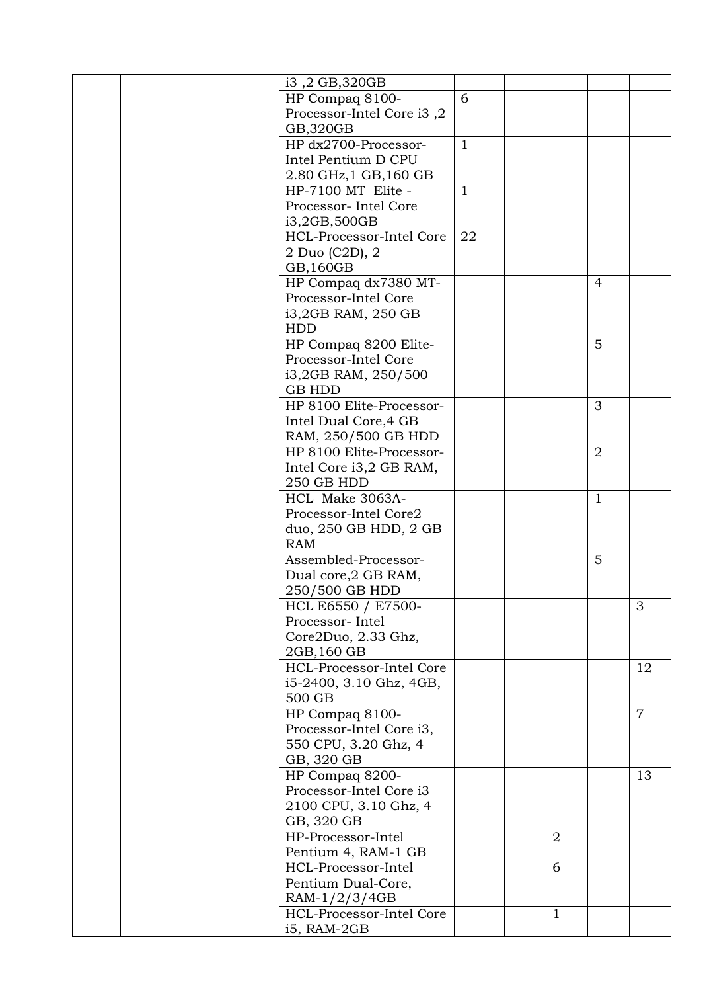|  | i3, 2 GB, 320GB           |              |                |                |                |
|--|---------------------------|--------------|----------------|----------------|----------------|
|  |                           | 6            |                |                |                |
|  | HP Compaq 8100-           |              |                |                |                |
|  | Processor-Intel Core i3,2 |              |                |                |                |
|  | GB,320GB                  |              |                |                |                |
|  | HP dx2700-Processor-      | $\mathbf{1}$ |                |                |                |
|  | Intel Pentium D CPU       |              |                |                |                |
|  | 2.80 GHz, 1 GB, 160 GB    |              |                |                |                |
|  | HP-7100 MT Elite -        | $\mathbf{1}$ |                |                |                |
|  | Processor- Intel Core     |              |                |                |                |
|  | i3,2GB,500GB              |              |                |                |                |
|  | HCL-Processor-Intel Core  | 22           |                |                |                |
|  |                           |              |                |                |                |
|  | 2 Duo (C2D), 2            |              |                |                |                |
|  | GB, 160GB                 |              |                |                |                |
|  | HP Compaq dx7380 MT-      |              |                | $\overline{4}$ |                |
|  | Processor-Intel Core      |              |                |                |                |
|  | i3,2GB RAM, 250 GB        |              |                |                |                |
|  | <b>HDD</b>                |              |                |                |                |
|  | HP Compaq 8200 Elite-     |              |                | 5              |                |
|  | Processor-Intel Core      |              |                |                |                |
|  | i3,2GB RAM, 250/500       |              |                |                |                |
|  | <b>GB HDD</b>             |              |                |                |                |
|  | HP 8100 Elite-Processor-  |              |                | 3              |                |
|  |                           |              |                |                |                |
|  | Intel Dual Core, 4 GB     |              |                |                |                |
|  | RAM, 250/500 GB HDD       |              |                |                |                |
|  | HP 8100 Elite-Processor-  |              |                | $\overline{2}$ |                |
|  | Intel Core i3,2 GB RAM,   |              |                |                |                |
|  | 250 GB HDD                |              |                |                |                |
|  | HCL Make 3063A-           |              |                | $\mathbf{1}$   |                |
|  | Processor-Intel Core2     |              |                |                |                |
|  | duo, 250 GB HDD, 2 GB     |              |                |                |                |
|  | <b>RAM</b>                |              |                |                |                |
|  | Assembled-Processor-      |              |                | 5              |                |
|  |                           |              |                |                |                |
|  | Dual core, 2 GB RAM,      |              |                |                |                |
|  | 250/500 GB HDD            |              |                |                |                |
|  | HCL E6550 / E7500-        |              |                |                | 3              |
|  | Processor-Intel           |              |                |                |                |
|  | Core2Duo, 2.33 Ghz,       |              |                |                |                |
|  | 2GB, 160 GB               |              |                |                |                |
|  | HCL-Processor-Intel Core  |              |                |                | 12             |
|  | i5-2400, 3.10 Ghz, 4GB,   |              |                |                |                |
|  | 500 GB                    |              |                |                |                |
|  | HP Compaq 8100-           |              |                |                | $\overline{7}$ |
|  | Processor-Intel Core i3,  |              |                |                |                |
|  | 550 CPU, 3.20 Ghz, 4      |              |                |                |                |
|  |                           |              |                |                |                |
|  | GB, 320 GB                |              |                |                |                |
|  | HP Compaq 8200-           |              |                |                | 13             |
|  | Processor-Intel Core i3   |              |                |                |                |
|  | 2100 CPU, 3.10 Ghz, 4     |              |                |                |                |
|  | GB, 320 GB                |              |                |                |                |
|  | HP-Processor-Intel        |              | $\overline{2}$ |                |                |
|  | Pentium 4, RAM-1 GB       |              |                |                |                |
|  | HCL-Processor-Intel       |              | 6              |                |                |
|  | Pentium Dual-Core,        |              |                |                |                |
|  | $RAM-1/2/3/4GB$           |              |                |                |                |
|  |                           |              |                |                |                |
|  | HCL-Processor-Intel Core  |              | $\mathbf{1}$   |                |                |
|  | i5, RAM-2GB               |              |                |                |                |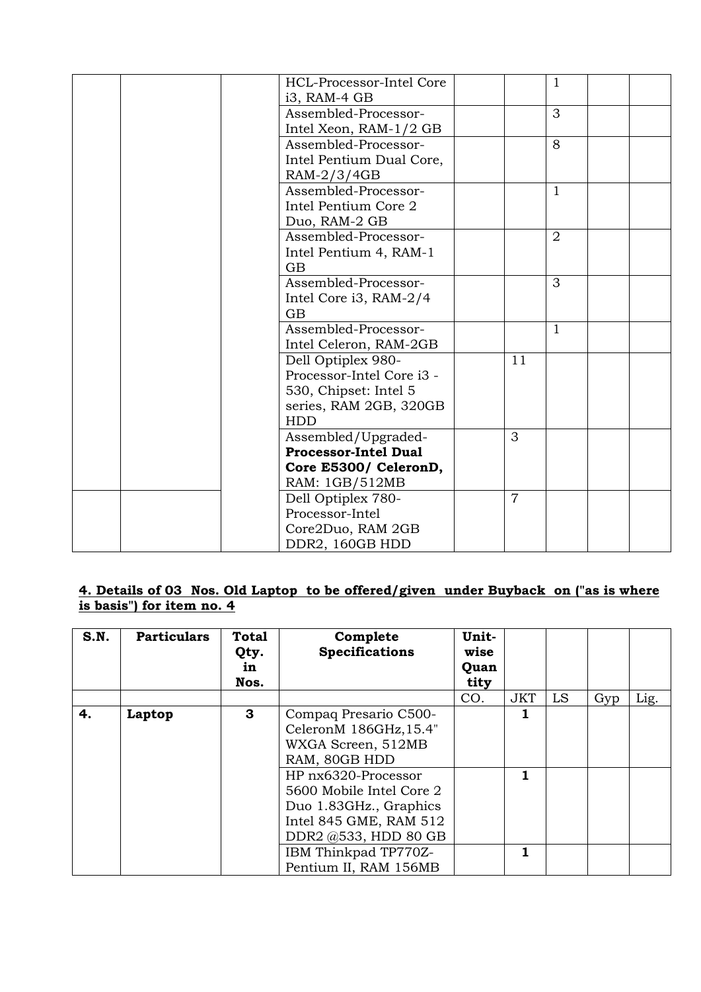|  | HCL-Processor-Intel Core    |                | 1              |  |
|--|-----------------------------|----------------|----------------|--|
|  | i3, RAM-4 GB                |                |                |  |
|  | Assembled-Processor-        |                | 3              |  |
|  | Intel Xeon, RAM-1/2 GB      |                |                |  |
|  | Assembled-Processor-        |                | 8              |  |
|  | Intel Pentium Dual Core,    |                |                |  |
|  | RAM-2/3/4GB                 |                |                |  |
|  | Assembled-Processor-        |                | 1              |  |
|  | Intel Pentium Core 2        |                |                |  |
|  | Duo, RAM-2 GB               |                |                |  |
|  | Assembled-Processor-        |                | $\overline{2}$ |  |
|  | Intel Pentium 4, RAM-1      |                |                |  |
|  | <b>GB</b>                   |                |                |  |
|  | Assembled-Processor-        |                | 3              |  |
|  | Intel Core i3, RAM-2/4      |                |                |  |
|  | GB                          |                |                |  |
|  | Assembled-Processor-        |                | 1              |  |
|  | Intel Celeron, RAM-2GB      |                |                |  |
|  | Dell Optiplex 980-          | 11             |                |  |
|  | Processor-Intel Core i3 -   |                |                |  |
|  | 530, Chipset: Intel 5       |                |                |  |
|  | series, RAM 2GB, 320GB      |                |                |  |
|  | <b>HDD</b>                  |                |                |  |
|  | Assembled/Upgraded-         | 3              |                |  |
|  | <b>Processor-Intel Dual</b> |                |                |  |
|  | Core E5300/ CeleronD,       |                |                |  |
|  | RAM: 1GB/512MB              |                |                |  |
|  | Dell Optiplex 780-          | $\overline{7}$ |                |  |
|  | Processor-Intel             |                |                |  |
|  | Core2Duo, RAM 2GB           |                |                |  |
|  | DDR2, 160GB HDD             |                |                |  |

# 4. Details of 03 Nos. Old Laptop to be offered/given under Buyback on ("as is where is basis") for item no. 4

| S.N. | <b>Particulars</b> | <b>Total</b><br>Qty.<br>in<br>Nos. | Complete<br><b>Specifications</b>                                                                                                                                                                                     | Unit-<br>wise<br>Quan<br>tity |            |    |     |      |
|------|--------------------|------------------------------------|-----------------------------------------------------------------------------------------------------------------------------------------------------------------------------------------------------------------------|-------------------------------|------------|----|-----|------|
|      |                    |                                    |                                                                                                                                                                                                                       | CO.                           | <b>JKT</b> | LS | Gyp | Lig. |
| 4.   | Laptop             | 3                                  | Compaq Presario C500-<br>CeleronM 186GHz, 15.4"<br>WXGA Screen, 512MB<br>RAM, 80GB HDD<br>HP nx6320-Processor<br>5600 Mobile Intel Core 2<br>Duo 1.83GHz., Graphics<br>Intel 845 GME, RAM 512<br>DDR2 @533, HDD 80 GB |                               |            |    |     |      |
|      |                    |                                    | IBM Thinkpad TP770Z-                                                                                                                                                                                                  |                               |            |    |     |      |
|      |                    |                                    | Pentium II, RAM 156MB                                                                                                                                                                                                 |                               |            |    |     |      |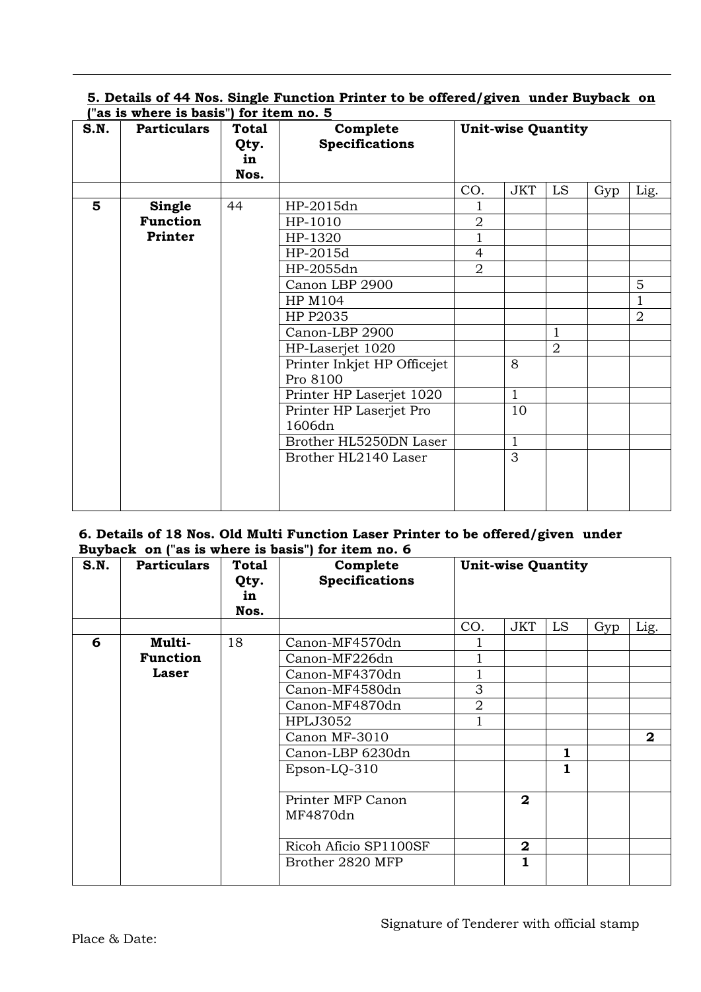# 5. Details of 44 Nos. Single Function Printer to be offered/given under Buyback on ("as is where is basis") for item no. 5

| S.N. | <b>Particulars</b> | <b>Total</b><br>Qty.<br>in | Complete<br><b>Specifications</b> | <b>Unit-wise Quantity</b> |              |                |     |                |
|------|--------------------|----------------------------|-----------------------------------|---------------------------|--------------|----------------|-----|----------------|
|      |                    | Nos.                       |                                   |                           |              |                |     |                |
|      |                    |                            |                                   | CO.                       | <b>JKT</b>   | LS             | Gyp | Lig.           |
| 5    | Single             | 44                         | HP-2015dn                         |                           |              |                |     |                |
|      | <b>Function</b>    |                            | HP-1010                           | $\overline{2}$            |              |                |     |                |
|      | Printer            |                            | HP-1320                           | $\mathbf{1}$              |              |                |     |                |
|      |                    |                            | HP-2015d                          | $\overline{4}$            |              |                |     |                |
|      |                    |                            | HP-2055dn                         | $\overline{2}$            |              |                |     |                |
|      |                    |                            | Canon LBP 2900                    |                           |              |                |     | 5              |
|      |                    |                            | HP M104                           |                           |              |                |     | $\mathbf{1}$   |
|      |                    |                            | HP P2035                          |                           |              |                |     | $\overline{2}$ |
|      |                    |                            | Canon-LBP 2900                    |                           |              | $\mathbf{1}$   |     |                |
|      |                    |                            | HP-Laserjet 1020                  |                           |              | $\overline{2}$ |     |                |
|      |                    |                            | Printer Inkjet HP Officejet       |                           | 8            |                |     |                |
|      |                    |                            | Pro 8100                          |                           |              |                |     |                |
|      |                    |                            | Printer HP Laserjet 1020          |                           | $\mathbf{1}$ |                |     |                |
|      |                    |                            | Printer HP Laserjet Pro           |                           | 10           |                |     |                |
|      |                    |                            | 1606dn                            |                           |              |                |     |                |
|      |                    |                            | Brother HL5250DN Laser            |                           | 1            |                |     |                |
|      |                    |                            | Brother HL2140 Laser              |                           | 3            |                |     |                |
|      |                    |                            |                                   |                           |              |                |     |                |
|      |                    |                            |                                   |                           |              |                |     |                |
|      |                    |                            |                                   |                           |              |                |     |                |

### 6. Details of 18 Nos. Old Multi Function Laser Printer to be offered/given under Buyback on ("as is where is basis") for item no. 6

| S.N. | <b>Particulars</b> | Total<br>Qty.<br>in<br>Nos. | Complete<br><b>Specifications</b> | <b>Unit-wise Quantity</b> |              |    |     |              |
|------|--------------------|-----------------------------|-----------------------------------|---------------------------|--------------|----|-----|--------------|
|      |                    |                             |                                   | CO.                       | <b>JKT</b>   | LS | Gyp | Lig.         |
| 6    | Multi-             | 18                          | Canon-MF4570dn                    |                           |              |    |     |              |
|      | <b>Function</b>    |                             | Canon-MF226dn                     |                           |              |    |     |              |
|      | Laser              |                             | Canon-MF4370dn                    |                           |              |    |     |              |
|      |                    |                             | Canon-MF4580dn                    | 3                         |              |    |     |              |
|      |                    |                             | Canon-MF4870dn                    | $\overline{2}$            |              |    |     |              |
|      |                    |                             | <b>HPLJ3052</b>                   |                           |              |    |     |              |
|      |                    |                             | Canon MF-3010                     |                           |              |    |     | $\mathbf{2}$ |
|      |                    |                             | Canon-LBP 6230dn                  |                           |              | 1  |     |              |
|      |                    |                             | $Epson-LO-310$                    |                           |              | 1  |     |              |
|      |                    |                             | Printer MFP Canon<br>MF4870dn     |                           | $\mathbf{2}$ |    |     |              |
|      |                    |                             | Ricoh Aficio SP1100SF             |                           | $\mathbf{2}$ |    |     |              |
|      |                    |                             | Brother 2820 MFP                  |                           | 1            |    |     |              |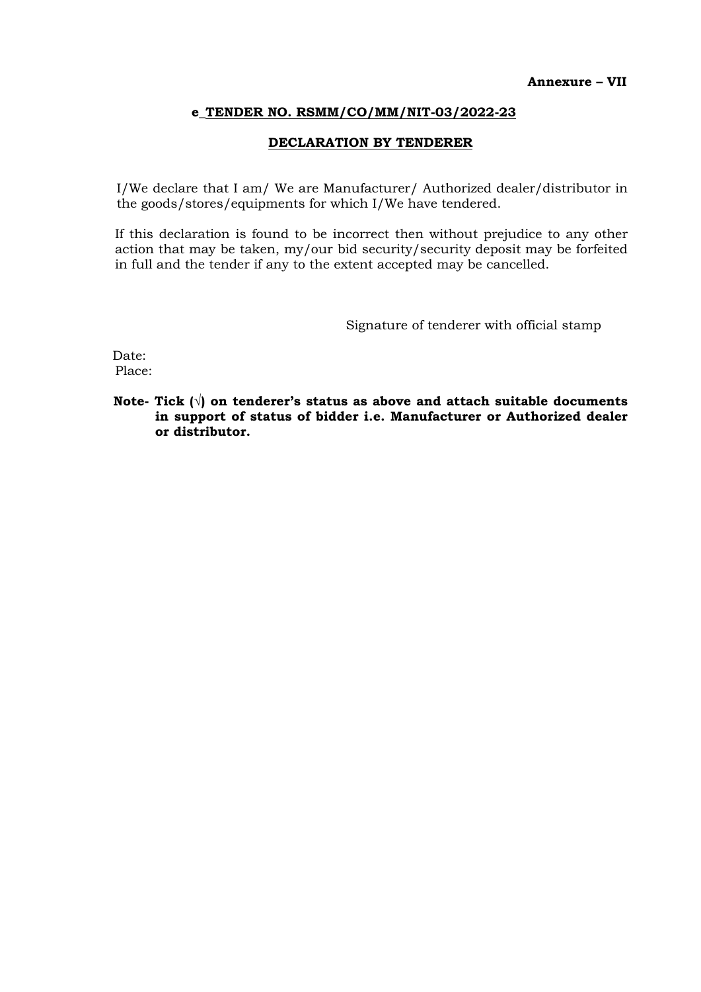#### DECLARATION BY TENDERER

I/We declare that I am/ We are Manufacturer/ Authorized dealer/distributor in the goods/stores/equipments for which I/We have tendered.

If this declaration is found to be incorrect then without prejudice to any other action that may be taken, my/our bid security/security deposit may be forfeited in full and the tender if any to the extent accepted may be cancelled.

Signature of tenderer with official stamp

Date: Place:

Note- Tick  $(\sqrt{ } )$  on tenderer's status as above and attach suitable documents in support of status of bidder i.e. Manufacturer or Authorized dealer or distributor.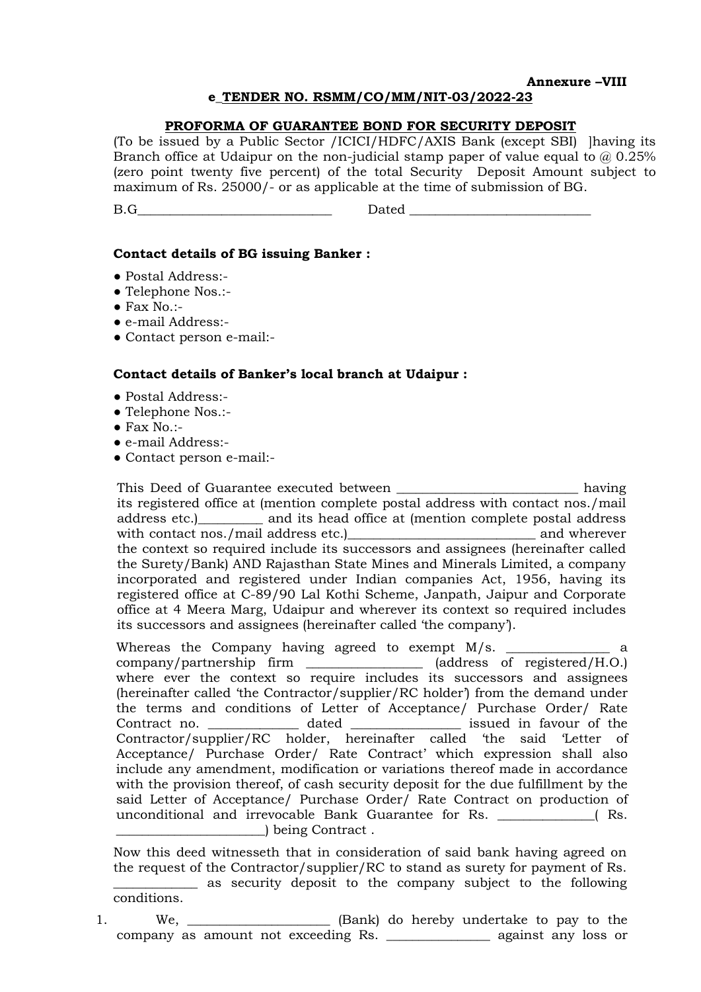#### Annexure –VIII

#### e\_TENDER NO. RSMM/CO/MM/NIT-03/2022-23

#### PROFORMA OF GUARANTEE BOND FOR SECURITY DEPOSIT

(To be issued by a Public Sector /ICICI/HDFC/AXIS Bank (except SBI) ]having its Branch office at Udaipur on the non-judicial stamp paper of value equal to  $\omega$  0.25% (zero point twenty five percent) of the total Security Deposit Amount subject to maximum of Rs. 25000/- or as applicable at the time of submission of BG.

B.G\_\_\_\_\_\_\_\_\_\_\_\_\_\_\_\_\_\_\_\_\_\_\_\_\_\_\_\_\_\_ Dated \_\_\_\_\_\_\_\_\_\_\_\_\_\_\_\_\_\_\_\_\_\_\_\_\_\_\_\_

#### Contact details of BG issuing Banker :

- Postal Address:-
- Telephone Nos.:-
- $\bullet$  Fax No.:-
- e-mail Address:-
- Contact person e-mail:-

#### Contact details of Banker's local branch at Udaipur :

- Postal Address:-
- Telephone Nos.:-
- $\bullet$  Fax No.:-
- e-mail Address:-
- Contact person e-mail:-

This Deed of Guarantee executed between \_\_\_\_\_\_\_\_\_\_\_\_\_\_\_\_\_\_\_\_\_\_\_\_\_\_\_\_\_ having its registered office at (mention complete postal address with contact nos./mail address etc.)\_\_\_\_\_\_\_\_\_\_ and its head office at (mention complete postal address with contact nos./mail address etc.)\_\_\_\_\_\_\_\_\_\_\_\_\_\_\_\_\_\_\_\_\_\_\_\_\_\_\_\_\_ and wherever the context so required include its successors and assignees (hereinafter called the Surety/Bank) AND Rajasthan State Mines and Minerals Limited, a company incorporated and registered under Indian companies Act, 1956, having its registered office at C-89/90 Lal Kothi Scheme, Janpath, Jaipur and Corporate office at 4 Meera Marg, Udaipur and wherever its context so required includes its successors and assignees (hereinafter called 'the company').

Whereas the Company having agreed to exempt  $M/s$ . \_\_\_\_\_\_\_\_\_\_\_\_\_\_\_\_\_\_\_\_\_ a company/partnership firm \_\_\_\_\_\_\_\_\_\_\_\_\_\_\_\_\_\_ (address of registered/H.O.) where ever the context so require includes its successors and assignees (hereinafter called 'the Contractor/supplier/RC holder') from the demand under the terms and conditions of Letter of Acceptance/ Purchase Order/ Rate Contract no. \_\_\_\_\_\_\_\_\_\_\_\_\_\_\_\_ dated \_\_\_\_\_\_\_\_\_\_\_\_\_\_\_\_\_\_\_\_ issued in favour of the Contractor/supplier/RC holder, hereinafter called 'the said 'Letter of Acceptance/ Purchase Order/ Rate Contract' which expression shall also include any amendment, modification or variations thereof made in accordance with the provision thereof, of cash security deposit for the due fulfillment by the said Letter of Acceptance/ Purchase Order/ Rate Contract on production of unconditional and irrevocable Bank Guarantee for Rs.  $\qquad \qquad$  (Rs. \_\_\_\_\_\_\_\_\_\_\_\_\_\_\_\_\_\_\_\_\_\_\_) being Contract .

Now this deed witnesseth that in consideration of said bank having agreed on the request of the Contractor/supplier/RC to stand as surety for payment of Rs. as security deposit to the company subject to the following conditions.

1. We, \_\_\_\_\_\_\_\_\_\_\_\_\_\_\_\_\_\_\_\_\_\_\_ (Bank) do hereby undertake to pay to the company as amount not exceeding Rs. \_\_\_\_\_\_\_\_\_\_\_\_\_\_\_\_ against any loss or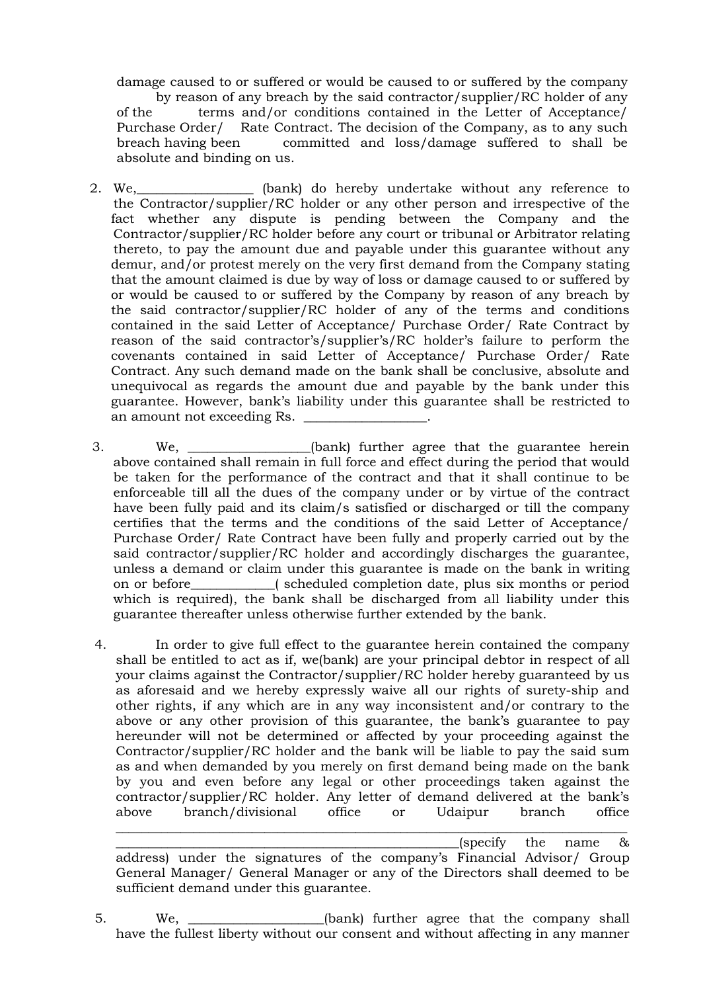damage caused to or suffered or would be caused to or suffered by the company by reason of any breach by the said contractor/supplier/RC holder of any of the terms and/or conditions contained in the Letter of Acceptance/ Purchase Order/ Rate Contract. The decision of the Company, as to any such breach having been committed and loss/damage suffered to shall be absolute and binding on us.

2. We, the same of the same of the panel of the bank) do hereby undertake without any reference to the Contractor/supplier/RC holder or any other person and irrespective of the fact whether any dispute is pending between the Company and the Contractor/supplier/RC holder before any court or tribunal or Arbitrator relating thereto, to pay the amount due and payable under this guarantee without any demur, and/or protest merely on the very first demand from the Company stating that the amount claimed is due by way of loss or damage caused to or suffered by or would be caused to or suffered by the Company by reason of any breach by the said contractor/supplier/RC holder of any of the terms and conditions contained in the said Letter of Acceptance/ Purchase Order/ Rate Contract by reason of the said contractor's/supplier's/RC holder's failure to perform the covenants contained in said Letter of Acceptance/ Purchase Order/ Rate Contract. Any such demand made on the bank shall be conclusive, absolute and unequivocal as regards the amount due and payable by the bank under this guarantee. However, bank's liability under this guarantee shall be restricted to an amount not exceeding Rs.

3. We, \_\_\_\_\_\_\_\_\_\_\_\_\_\_\_\_\_\_\_(bank) further agree that the guarantee herein above contained shall remain in full force and effect during the period that would be taken for the performance of the contract and that it shall continue to be enforceable till all the dues of the company under or by virtue of the contract have been fully paid and its claim/s satisfied or discharged or till the company certifies that the terms and the conditions of the said Letter of Acceptance/ Purchase Order/ Rate Contract have been fully and properly carried out by the said contractor/supplier/RC holder and accordingly discharges the guarantee, unless a demand or claim under this guarantee is made on the bank in writing on or before\_\_\_\_\_\_\_\_\_\_\_\_\_( scheduled completion date, plus six months or period which is required), the bank shall be discharged from all liability under this guarantee thereafter unless otherwise further extended by the bank.

4. In order to give full effect to the guarantee herein contained the company shall be entitled to act as if, we(bank) are your principal debtor in respect of all your claims against the Contractor/supplier/RC holder hereby guaranteed by us as aforesaid and we hereby expressly waive all our rights of surety-ship and other rights, if any which are in any way inconsistent and/or contrary to the above or any other provision of this guarantee, the bank's guarantee to pay hereunder will not be determined or affected by your proceeding against the Contractor/supplier/RC holder and the bank will be liable to pay the said sum as and when demanded by you merely on first demand being made on the bank by you and even before any legal or other proceedings taken against the contractor/supplier/RC holder. Any letter of demand delivered at the bank's above branch/divisional office or Udaipur branch office

\_\_\_\_\_\_\_\_\_\_\_\_\_\_\_\_\_\_\_\_\_\_\_\_\_\_\_\_\_\_\_\_\_\_\_\_\_\_\_\_\_\_\_\_\_\_\_\_\_\_\_\_\_(specify the name & address) under the signatures of the company's Financial Advisor/ Group General Manager/ General Manager or any of the Directors shall deemed to be sufficient demand under this guarantee.

\_\_\_\_\_\_\_\_\_\_\_\_\_\_\_\_\_\_\_\_\_\_\_\_\_\_\_\_\_\_\_\_\_\_\_\_\_\_\_\_\_\_\_\_\_\_\_\_\_\_\_\_\_\_\_\_\_\_\_\_\_\_\_\_\_\_\_\_\_\_\_\_\_\_\_\_\_\_\_

5. We, \_\_\_\_\_\_\_\_\_\_\_\_\_\_\_\_\_\_\_\_\_(bank) further agree that the company shall have the fullest liberty without our consent and without affecting in any manner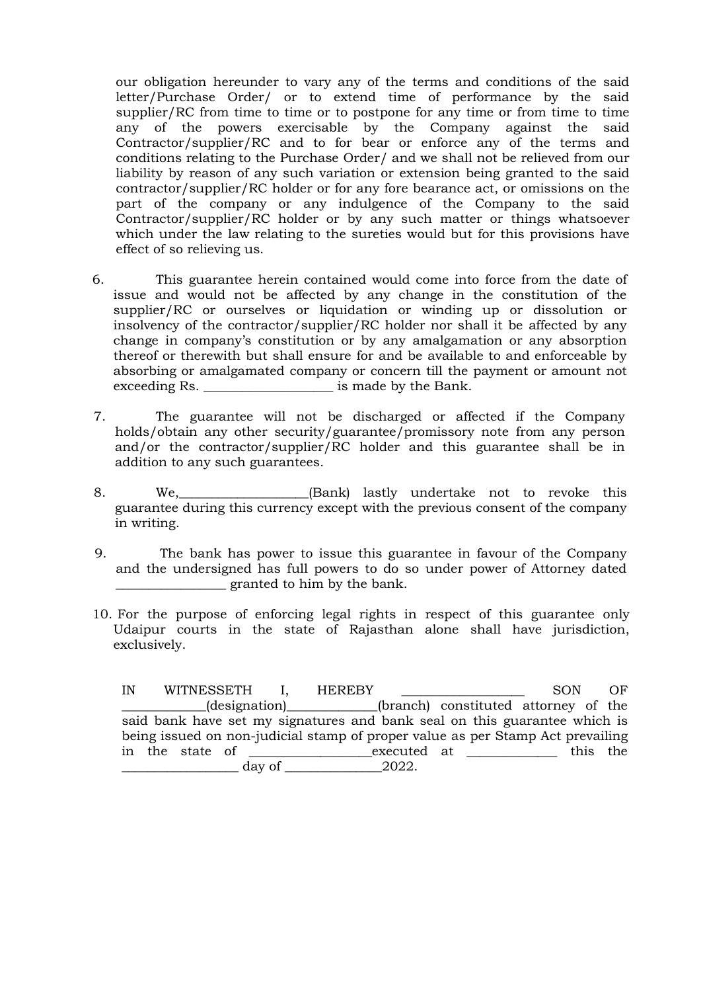our obligation hereunder to vary any of the terms and conditions of the said letter/Purchase Order/ or to extend time of performance by the said supplier/RC from time to time or to postpone for any time or from time to time any of the powers exercisable by the Company against the said Contractor/supplier/RC and to for bear or enforce any of the terms and conditions relating to the Purchase Order/ and we shall not be relieved from our liability by reason of any such variation or extension being granted to the said contractor/supplier/RC holder or for any fore bearance act, or omissions on the part of the company or any indulgence of the Company to the said Contractor/supplier/RC holder or by any such matter or things whatsoever which under the law relating to the sureties would but for this provisions have effect of so relieving us.

- 6. This guarantee herein contained would come into force from the date of issue and would not be affected by any change in the constitution of the supplier/RC or ourselves or liquidation or winding up or dissolution or insolvency of the contractor/supplier/RC holder nor shall it be affected by any change in company's constitution or by any amalgamation or any absorption thereof or therewith but shall ensure for and be available to and enforceable by absorbing or amalgamated company or concern till the payment or amount not exceeding Rs.  $\qquad \qquad$  is made by the Bank.
- 7. The guarantee will not be discharged or affected if the Company holds/obtain any other security/guarantee/promissory note from any person and/or the contractor/supplier/RC holder and this guarantee shall be in addition to any such guarantees.
- 8. We, we (Bank) lastly undertake not to revoke this guarantee during this currency except with the previous consent of the company in writing.
- 9. The bank has power to issue this guarantee in favour of the Company and the undersigned has full powers to do so under power of Attorney dated \_\_\_\_\_\_\_\_\_\_\_\_\_\_\_\_\_ granted to him by the bank.
- 10. For the purpose of enforcing legal rights in respect of this guarantee only Udaipur courts in the state of Rajasthan alone shall have jurisdiction, exclusively.

IN WITNESSETH I, HEREBY SON OF \_\_\_\_\_\_\_\_\_\_\_\_\_(designation)\_\_\_\_\_\_\_\_\_\_\_\_\_\_(branch) constituted attorney of the said bank have set my signatures and bank seal on this guarantee which is being issued on non-judicial stamp of proper value as per Stamp Act prevailing in the state of  $\frac{\text{exected at}}{\text{day of}} = \frac{2022}{\text{cm}}$ . \_\_\_\_\_\_\_\_\_\_\_\_\_\_\_\_\_\_ day of \_\_\_\_\_\_\_\_\_\_\_\_\_\_\_2022.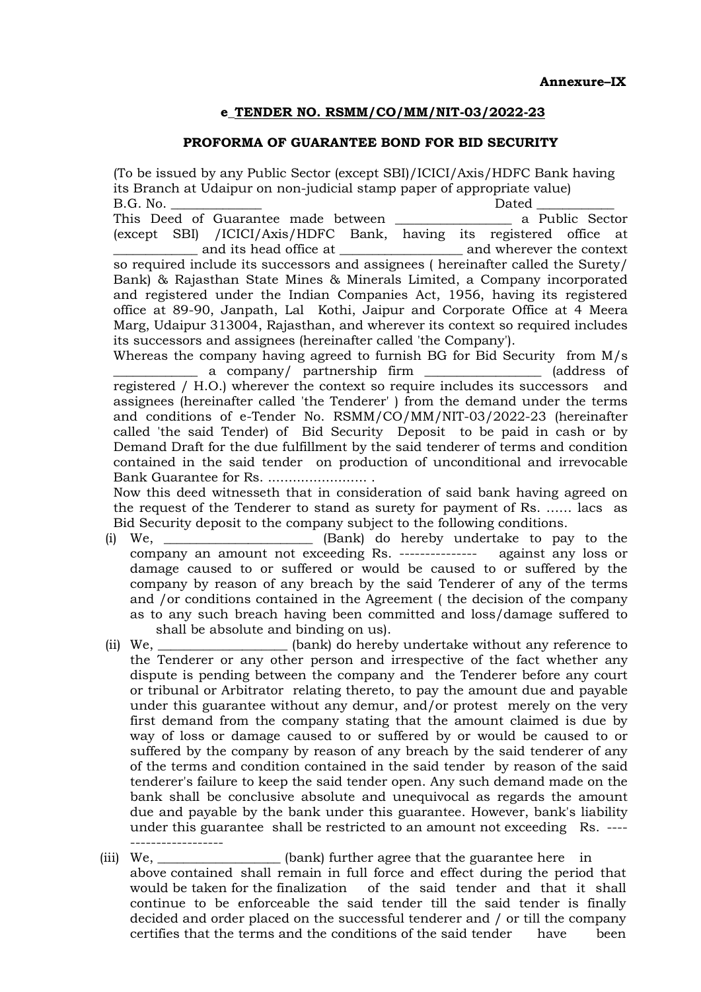### PROFORMA OF GUARANTEE BOND FOR BID SECURITY

(To be issued by any Public Sector (except SBI)/ICICI/Axis/HDFC Bank having its Branch at Udaipur on non-judicial stamp paper of appropriate value) B.G. No. \_\_\_\_\_\_\_\_\_\_\_\_\_\_ Dated \_\_\_\_\_\_\_\_\_\_\_\_ This Deed of Guarantee made between \_\_\_\_\_\_\_\_\_\_\_\_\_\_\_\_\_\_ a Public Sector (except SBI) /ICICI/Axis/HDFC Bank, having its registered office at \_\_\_\_\_\_\_\_\_\_\_\_\_ and its head office at \_\_\_\_\_\_\_\_\_\_\_\_\_\_\_\_\_\_\_ and wherever the context so required include its successors and assignees ( hereinafter called the Surety/ Bank) & Rajasthan State Mines & Minerals Limited, a Company incorporated and registered under the Indian Companies Act, 1956, having its registered office at 89-90, Janpath, Lal Kothi, Jaipur and Corporate Office at 4 Meera Marg, Udaipur 313004, Rajasthan, and wherever its context so required includes its successors and assignees (hereinafter called 'the Company'). Whereas the company having agreed to furnish BG for Bid Security from M/s

a company/ partnership firm \_\_\_\_\_\_\_\_\_\_\_\_\_\_\_ (address of registered / H.O.) wherever the context so require includes its successors and assignees (hereinafter called 'the Tenderer' ) from the demand under the terms and conditions of e-Tender No. RSMM/CO/MM/NIT-03/2022-23 (hereinafter called 'the said Tender) of Bid Security Deposit to be paid in cash or by Demand Draft for the due fulfillment by the said tenderer of terms and condition contained in the said tender on production of unconditional and irrevocable Bank Guarantee for Rs. ........................ .

Now this deed witnesseth that in consideration of said bank having agreed on the request of the Tenderer to stand as surety for payment of Rs. …… lacs as Bid Security deposit to the company subject to the following conditions.

- (i) We, \_\_\_\_\_\_\_\_\_\_\_\_\_\_\_\_\_\_\_\_\_\_\_ (Bank) do hereby undertake to pay to the company an amount not exceeding Rs. --------------- against any loss or damage caused to or suffered or would be caused to or suffered by the company by reason of any breach by the said Tenderer of any of the terms and /or conditions contained in the Agreement ( the decision of the company as to any such breach having been committed and loss/damage suffered to shall be absolute and binding on us).
- (ii) We, \_\_\_\_\_\_\_\_\_\_\_\_\_\_\_\_\_\_\_\_ (bank) do hereby undertake without any reference to the Tenderer or any other person and irrespective of the fact whether any dispute is pending between the company and the Tenderer before any court or tribunal or Arbitrator relating thereto, to pay the amount due and payable under this guarantee without any demur, and/or protest merely on the very first demand from the company stating that the amount claimed is due by way of loss or damage caused to or suffered by or would be caused to or suffered by the company by reason of any breach by the said tenderer of any of the terms and condition contained in the said tender by reason of the said tenderer's failure to keep the said tender open. Any such demand made on the bank shall be conclusive absolute and unequivocal as regards the amount due and payable by the bank under this guarantee. However, bank's liability under this guarantee shall be restricted to an amount not exceeding Rs. ----------------------
- (iii) We, \_\_\_\_\_\_\_\_\_\_\_\_\_\_\_\_\_\_\_(bank) further agree that the guarantee here in above contained shall remain in full force and effect during the period that would be taken for the finalization of the said tender and that it shall continue to be enforceable the said tender till the said tender is finally decided and order placed on the successful tenderer and / or till the company certifies that the terms and the conditions of the said tender have been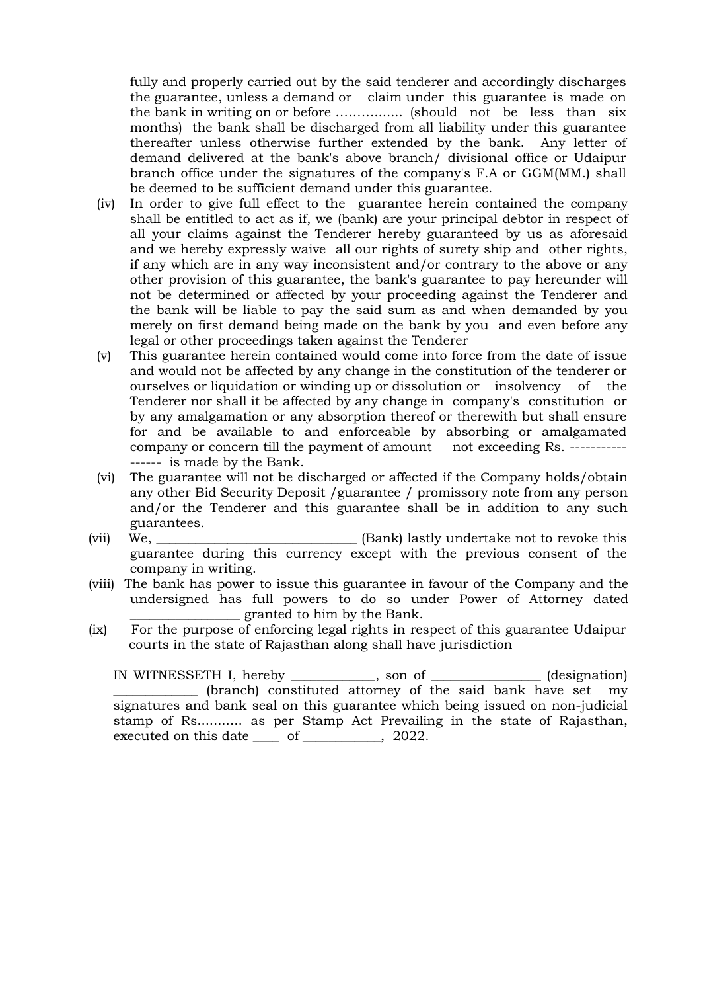fully and properly carried out by the said tenderer and accordingly discharges the guarantee, unless a demand or claim under this guarantee is made on the bank in writing on or before ………....... (should not be less than six months) the bank shall be discharged from all liability under this guarantee thereafter unless otherwise further extended by the bank. Any letter of demand delivered at the bank's above branch/ divisional office or Udaipur branch office under the signatures of the company's F.A or GGM(MM.) shall be deemed to be sufficient demand under this guarantee.

- (iv) In order to give full effect to the guarantee herein contained the company shall be entitled to act as if, we (bank) are your principal debtor in respect of all your claims against the Tenderer hereby guaranteed by us as aforesaid and we hereby expressly waive all our rights of surety ship and other rights, if any which are in any way inconsistent and/or contrary to the above or any other provision of this guarantee, the bank's guarantee to pay hereunder will not be determined or affected by your proceeding against the Tenderer and the bank will be liable to pay the said sum as and when demanded by you merely on first demand being made on the bank by you and even before any legal or other proceedings taken against the Tenderer
- (v) This guarantee herein contained would come into force from the date of issue and would not be affected by any change in the constitution of the tenderer or ourselves or liquidation or winding up or dissolution or insolvency of the Tenderer nor shall it be affected by any change in company's constitution or by any amalgamation or any absorption thereof or therewith but shall ensure for and be available to and enforceable by absorbing or amalgamated company or concern till the payment of amount not exceeding Rs. ----------------- is made by the Bank.
- (vi) The guarantee will not be discharged or affected if the Company holds/obtain any other Bid Security Deposit /guarantee / promissory note from any person and/or the Tenderer and this guarantee shall be in addition to any such guarantees.
- (vii) We, \_\_\_\_\_\_\_\_\_\_\_\_\_\_\_\_\_\_\_\_\_\_\_\_\_\_\_\_\_\_\_ (Bank) lastly undertake not to revoke this guarantee during this currency except with the previous consent of the company in writing.
- (viii) The bank has power to issue this guarantee in favour of the Company and the undersigned has full powers to do so under Power of Attorney dated \_\_\_\_\_\_\_\_\_\_\_\_\_\_\_\_\_ granted to him by the Bank.
- (ix) For the purpose of enforcing legal rights in respect of this guarantee Udaipur courts in the state of Rajasthan along shall have jurisdiction

IN WITNESSETH I, hereby \_\_\_\_\_\_\_\_\_\_\_\_\_, son of \_\_\_\_\_\_\_\_\_\_\_\_\_\_\_\_\_ (designation) \_\_\_\_\_\_\_\_\_\_\_\_\_ (branch) constituted attorney of the said bank have set my signatures and bank seal on this guarantee which being issued on non-judicial stamp of Rs........... as per Stamp Act Prevailing in the state of Rajasthan, executed on this date of  $\qquad \qquad$  , 2022.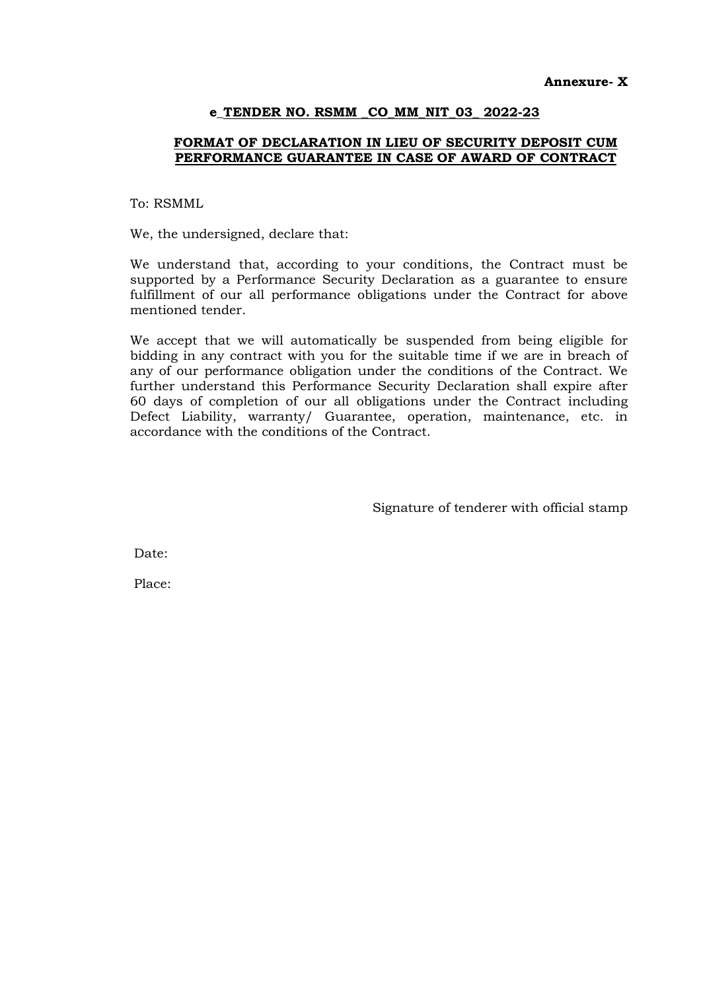### e\_TENDER NO. RSMM \_CO\_MM\_NIT\_03\_ 2022-23

### FORMAT OF DECLARATION IN LIEU OF SECURITY DEPOSIT CUM PERFORMANCE GUARANTEE IN CASE OF AWARD OF CONTRACT

To: RSMML

We, the undersigned, declare that:

We understand that, according to your conditions, the Contract must be supported by a Performance Security Declaration as a guarantee to ensure fulfillment of our all performance obligations under the Contract for above mentioned tender.

We accept that we will automatically be suspended from being eligible for bidding in any contract with you for the suitable time if we are in breach of any of our performance obligation under the conditions of the Contract. We further understand this Performance Security Declaration shall expire after 60 days of completion of our all obligations under the Contract including Defect Liability, warranty/ Guarantee, operation, maintenance, etc. in accordance with the conditions of the Contract.

Signature of tenderer with official stamp

Date:

Place: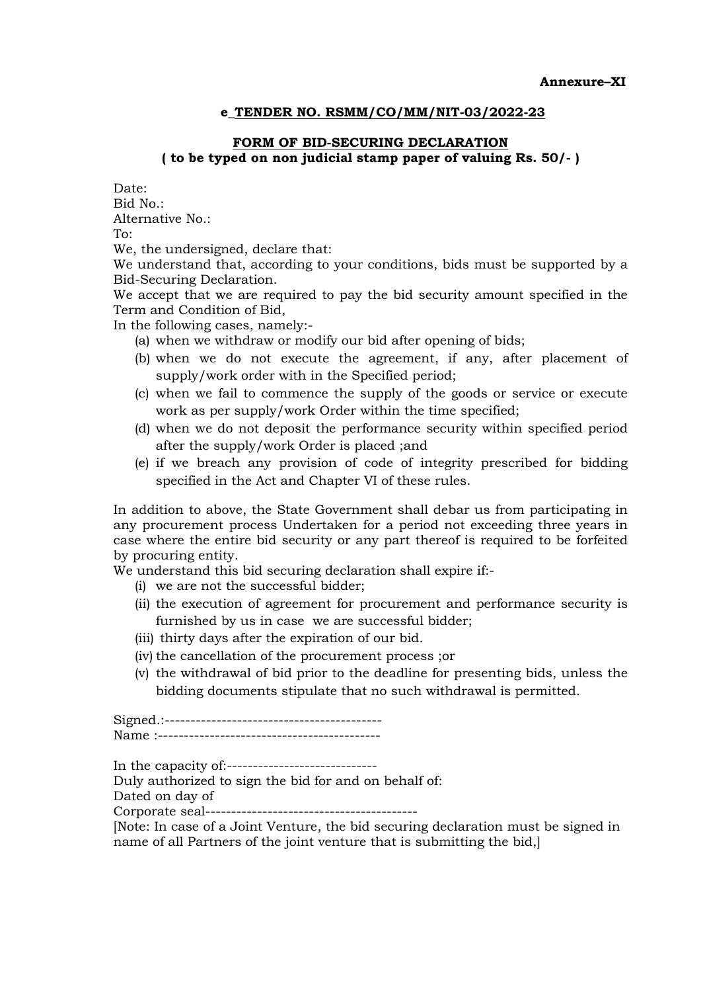# FORM OF BID-SECURING DECLARATION ( to be typed on non judicial stamp paper of valuing Rs. 50/- )

Date:  $Bid No.$ 

Alternative No.:

To:

We, the undersigned, declare that:

We understand that, according to your conditions, bids must be supported by a Bid-Securing Declaration.

We accept that we are required to pay the bid security amount specified in the Term and Condition of Bid,

In the following cases, namely:-

- (a) when we withdraw or modify our bid after opening of bids;
- (b) when we do not execute the agreement, if any, after placement of supply/work order with in the Specified period;
- (c) when we fail to commence the supply of the goods or service or execute work as per supply/work Order within the time specified;
- (d) when we do not deposit the performance security within specified period after the supply/work Order is placed ;and
- (e) if we breach any provision of code of integrity prescribed for bidding specified in the Act and Chapter VI of these rules.

In addition to above, the State Government shall debar us from participating in any procurement process Undertaken for a period not exceeding three years in case where the entire bid security or any part thereof is required to be forfeited by procuring entity.

We understand this bid securing declaration shall expire if:-

- (i) we are not the successful bidder;
- (ii) the execution of agreement for procurement and performance security is furnished by us in case we are successful bidder;
- (iii) thirty days after the expiration of our bid.
- (iv) the cancellation of the procurement process ;or
- (v) the withdrawal of bid prior to the deadline for presenting bids, unless the bidding documents stipulate that no such withdrawal is permitted.

Signed.:------------------------------------------ Name :-------------------------------------------

In the capacity of:-----------------------------

Duly authorized to sign the bid for and on behalf of:

Dated on day of

Corporate seal------

[Note: In case of a Joint Venture, the bid securing declaration must be signed in name of all Partners of the joint venture that is submitting the bid,]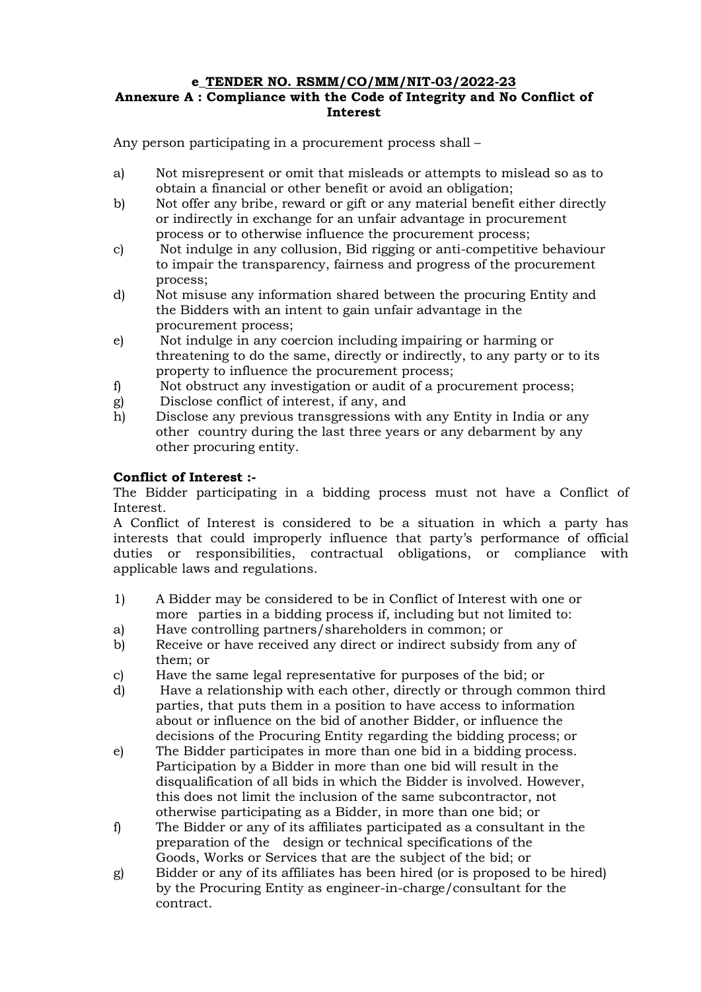# e\_TENDER NO. RSMM/CO/MM/NIT-03/2022-23 Annexure A : Compliance with the Code of Integrity and No Conflict of Interest

Any person participating in a procurement process shall –

- a) Not misrepresent or omit that misleads or attempts to mislead so as to obtain a financial or other benefit or avoid an obligation;
- b) Not offer any bribe, reward or gift or any material benefit either directly or indirectly in exchange for an unfair advantage in procurement process or to otherwise influence the procurement process;
- c) Not indulge in any collusion, Bid rigging or anti-competitive behaviour to impair the transparency, fairness and progress of the procurement process;
- d) Not misuse any information shared between the procuring Entity and the Bidders with an intent to gain unfair advantage in the procurement process;
- e) Not indulge in any coercion including impairing or harming or threatening to do the same, directly or indirectly, to any party or to its property to influence the procurement process;
- f) Not obstruct any investigation or audit of a procurement process;
- g) Disclose conflict of interest, if any, and
- h) Disclose any previous transgressions with any Entity in India or any other country during the last three years or any debarment by any other procuring entity.

# Conflict of Interest :-

The Bidder participating in a bidding process must not have a Conflict of Interest.

A Conflict of Interest is considered to be a situation in which a party has interests that could improperly influence that party's performance of official duties or responsibilities, contractual obligations, or compliance with applicable laws and regulations.

- 1) A Bidder may be considered to be in Conflict of Interest with one or more parties in a bidding process if, including but not limited to:
- a) Have controlling partners/shareholders in common; or
- b) Receive or have received any direct or indirect subsidy from any of them; or
- c) Have the same legal representative for purposes of the bid; or
- d) Have a relationship with each other, directly or through common third parties, that puts them in a position to have access to information about or influence on the bid of another Bidder, or influence the decisions of the Procuring Entity regarding the bidding process; or
- e) The Bidder participates in more than one bid in a bidding process. Participation by a Bidder in more than one bid will result in the disqualification of all bids in which the Bidder is involved. However, this does not limit the inclusion of the same subcontractor, not otherwise participating as a Bidder, in more than one bid; or
- f) The Bidder or any of its affiliates participated as a consultant in the preparation of the design or technical specifications of the Goods, Works or Services that are the subject of the bid; or
- g) Bidder or any of its affiliates has been hired (or is proposed to be hired) by the Procuring Entity as engineer-in-charge/consultant for the contract.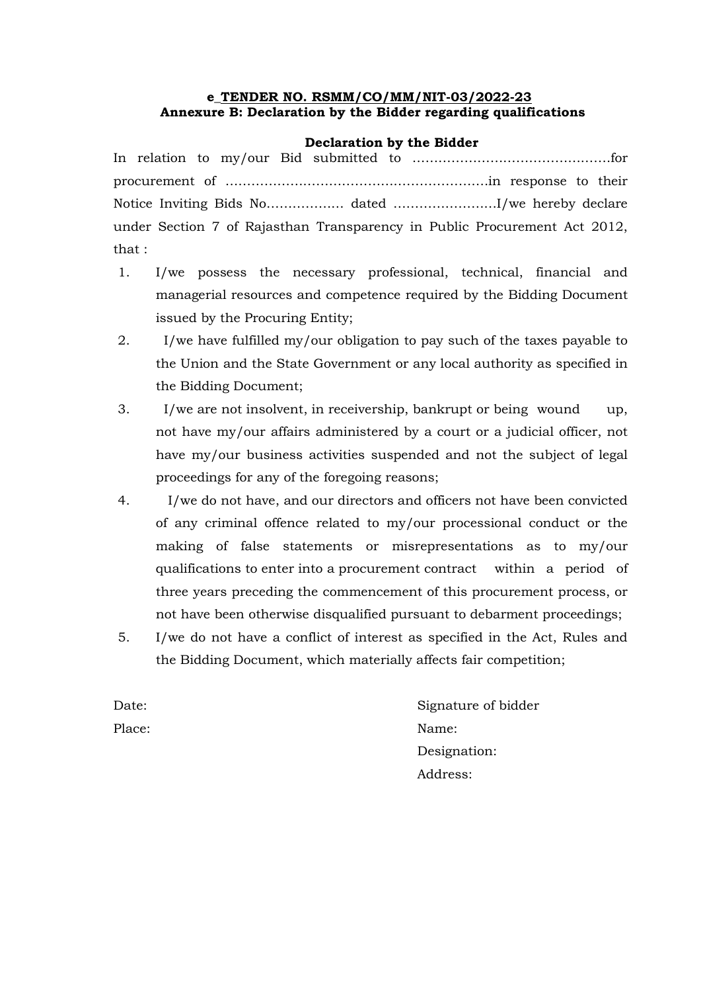# e\_TENDER NO. RSMM/CO/MM/NIT-03/2022-23 Annexure B: Declaration by the Bidder regarding qualifications

### Declaration by the Bidder

| under Section 7 of Rajasthan Transparency in Public Procurement Act 2012, |
|---------------------------------------------------------------------------|
| that :                                                                    |

- 1. I/we possess the necessary professional, technical, financial and managerial resources and competence required by the Bidding Document issued by the Procuring Entity;
- 2. I/we have fulfilled my/our obligation to pay such of the taxes payable to the Union and the State Government or any local authority as specified in the Bidding Document;
- 3. I/we are not insolvent, in receivership, bankrupt or being wound up, not have my/our affairs administered by a court or a judicial officer, not have my/our business activities suspended and not the subject of legal proceedings for any of the foregoing reasons;
- 4. I/we do not have, and our directors and officers not have been convicted of any criminal offence related to my/our processional conduct or the making of false statements or misrepresentations as to my/our qualifications to enter into a procurement contract within a period of three years preceding the commencement of this procurement process, or not have been otherwise disqualified pursuant to debarment proceedings;
- 5. I/we do not have a conflict of interest as specified in the Act, Rules and the Bidding Document, which materially affects fair competition;

Date: Signature of bidder Place: Name: Designation: Address: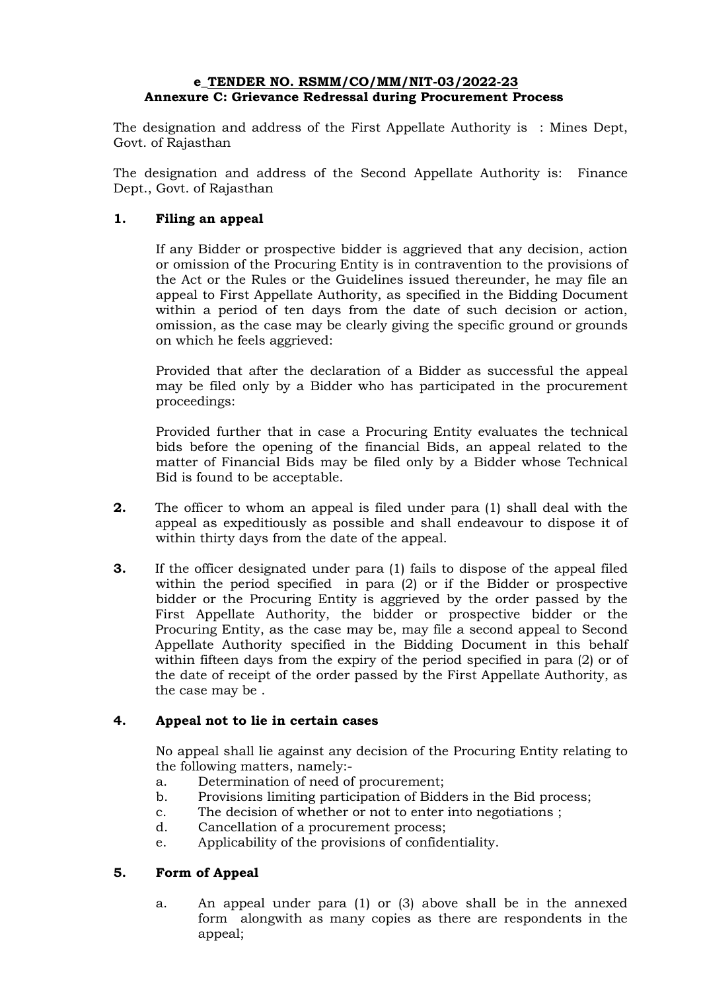### e\_TENDER NO. RSMM/CO/MM/NIT-03/2022-23 Annexure C: Grievance Redressal during Procurement Process

The designation and address of the First Appellate Authority is : Mines Dept, Govt. of Rajasthan

The designation and address of the Second Appellate Authority is: Finance Dept., Govt. of Rajasthan

# 1. Filing an appeal

If any Bidder or prospective bidder is aggrieved that any decision, action or omission of the Procuring Entity is in contravention to the provisions of the Act or the Rules or the Guidelines issued thereunder, he may file an appeal to First Appellate Authority, as specified in the Bidding Document within a period of ten days from the date of such decision or action, omission, as the case may be clearly giving the specific ground or grounds on which he feels aggrieved:

Provided that after the declaration of a Bidder as successful the appeal may be filed only by a Bidder who has participated in the procurement proceedings:

Provided further that in case a Procuring Entity evaluates the technical bids before the opening of the financial Bids, an appeal related to the matter of Financial Bids may be filed only by a Bidder whose Technical Bid is found to be acceptable.

- **2.** The officer to whom an appeal is filed under para (1) shall deal with the appeal as expeditiously as possible and shall endeavour to dispose it of within thirty days from the date of the appeal.
- **3.** If the officer designated under para (1) fails to dispose of the appeal filed within the period specified in para (2) or if the Bidder or prospective bidder or the Procuring Entity is aggrieved by the order passed by the First Appellate Authority, the bidder or prospective bidder or the Procuring Entity, as the case may be, may file a second appeal to Second Appellate Authority specified in the Bidding Document in this behalf within fifteen days from the expiry of the period specified in para (2) or of the date of receipt of the order passed by the First Appellate Authority, as the case may be .

# 4. Appeal not to lie in certain cases

No appeal shall lie against any decision of the Procuring Entity relating to the following matters, namely:-

- a. Determination of need of procurement;
- b. Provisions limiting participation of Bidders in the Bid process;
- c. The decision of whether or not to enter into negotiations ;
- d. Cancellation of a procurement process;
- e. Applicability of the provisions of confidentiality.

# 5. Form of Appeal

a. An appeal under para (1) or (3) above shall be in the annexed form alongwith as many copies as there are respondents in the appeal;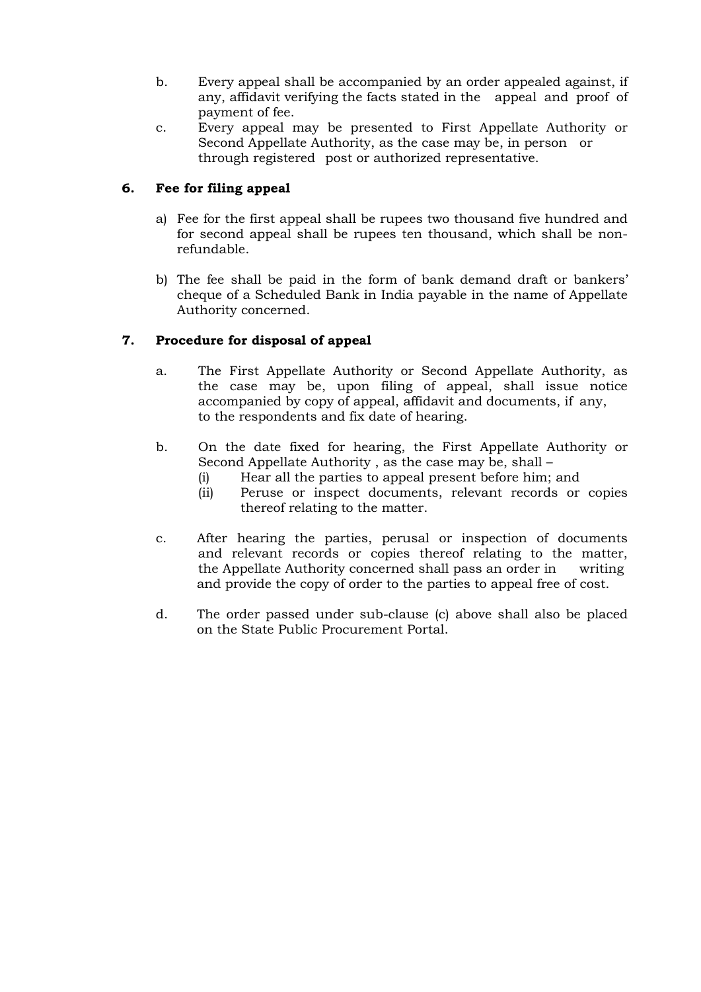- b. Every appeal shall be accompanied by an order appealed against, if any, affidavit verifying the facts stated in the appeal and proof of payment of fee.
- c. Every appeal may be presented to First Appellate Authority or Second Appellate Authority, as the case may be, in person or through registered post or authorized representative.

# 6. Fee for filing appeal

- a) Fee for the first appeal shall be rupees two thousand five hundred and for second appeal shall be rupees ten thousand, which shall be nonrefundable.
- b) The fee shall be paid in the form of bank demand draft or bankers' cheque of a Scheduled Bank in India payable in the name of Appellate Authority concerned.

# 7. Procedure for disposal of appeal

- a. The First Appellate Authority or Second Appellate Authority, as the case may be, upon filing of appeal, shall issue notice accompanied by copy of appeal, affidavit and documents, if any, to the respondents and fix date of hearing.
- b. On the date fixed for hearing, the First Appellate Authority or Second Appellate Authority , as the case may be, shall –
	- (i) Hear all the parties to appeal present before him; and
	- (ii) Peruse or inspect documents, relevant records or copies thereof relating to the matter.
- c. After hearing the parties, perusal or inspection of documents and relevant records or copies thereof relating to the matter, the Appellate Authority concerned shall pass an order in writing and provide the copy of order to the parties to appeal free of cost.
- d. The order passed under sub-clause (c) above shall also be placed on the State Public Procurement Portal.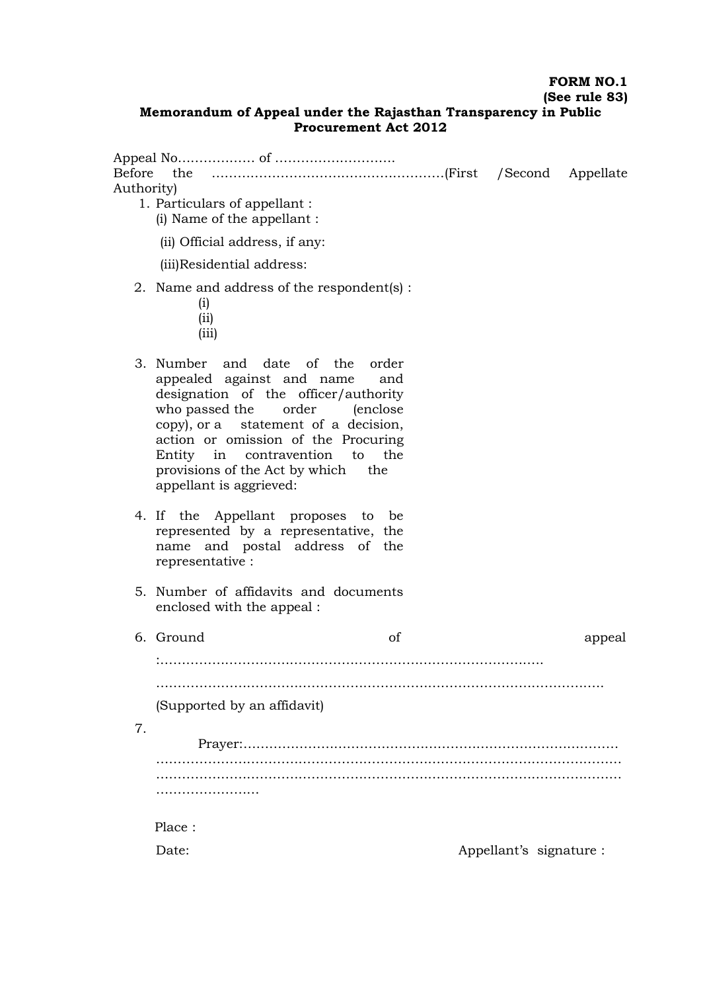# FORM NO.1

# (See rule 83)

### Memorandum of Appeal under the Rajasthan Transparency in Public Procurement Act 2012

| Before<br>Authority) | 1. Particulars of appellant :<br>(i) Name of the appellant :                                                                                                                                                                                                                                                                         |                         |        |
|----------------------|--------------------------------------------------------------------------------------------------------------------------------------------------------------------------------------------------------------------------------------------------------------------------------------------------------------------------------------|-------------------------|--------|
|                      | (ii) Official address, if any:                                                                                                                                                                                                                                                                                                       |                         |        |
|                      | (iii)Residential address:                                                                                                                                                                                                                                                                                                            |                         |        |
|                      | 2. Name and address of the respondent(s) :<br>(i)<br>(i)<br>(iii)                                                                                                                                                                                                                                                                    |                         |        |
|                      | 3. Number and date of the<br>order<br>appealed against and name<br>and<br>designation of the officer/authority<br>who passed the order (enclose<br>copy), or a statement of a decision,<br>action or omission of the Procuring<br>Entity in contravention to<br>the<br>provisions of the Act by which the<br>appellant is aggrieved: |                         |        |
|                      | 4. If the Appellant proposes to be<br>represented by a representative, the<br>name and postal address of the<br>representative:                                                                                                                                                                                                      |                         |        |
|                      | 5. Number of affidavits and documents<br>enclosed with the appeal :                                                                                                                                                                                                                                                                  |                         |        |
|                      | 6. Ground<br>of                                                                                                                                                                                                                                                                                                                      |                         | appeal |
|                      |                                                                                                                                                                                                                                                                                                                                      |                         |        |
|                      |                                                                                                                                                                                                                                                                                                                                      |                         |        |
|                      | (Supported by an affidavit)                                                                                                                                                                                                                                                                                                          |                         |        |
| 7.                   |                                                                                                                                                                                                                                                                                                                                      |                         |        |
|                      |                                                                                                                                                                                                                                                                                                                                      |                         |        |
|                      |                                                                                                                                                                                                                                                                                                                                      |                         |        |
|                      |                                                                                                                                                                                                                                                                                                                                      |                         |        |
|                      | Place:                                                                                                                                                                                                                                                                                                                               |                         |        |
|                      | Date:                                                                                                                                                                                                                                                                                                                                | Appellant's signature : |        |
|                      |                                                                                                                                                                                                                                                                                                                                      |                         |        |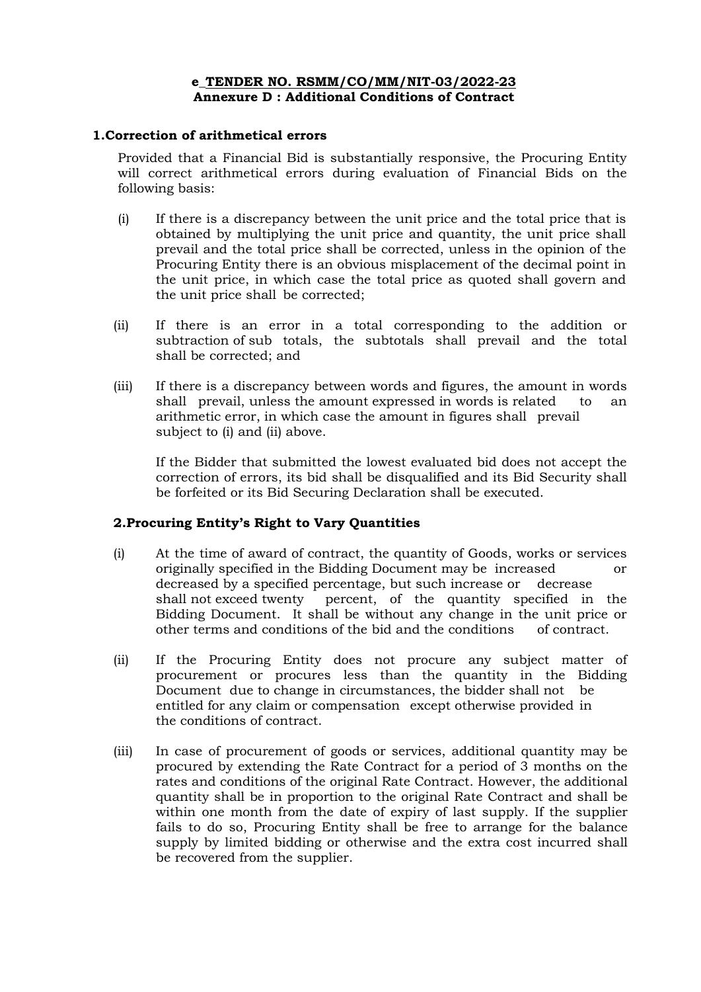### e\_TENDER NO. RSMM/CO/MM/NIT-03/2022-23 Annexure D : Additional Conditions of Contract

### 1.Correction of arithmetical errors

Provided that a Financial Bid is substantially responsive, the Procuring Entity will correct arithmetical errors during evaluation of Financial Bids on the following basis:

- (i) If there is a discrepancy between the unit price and the total price that is obtained by multiplying the unit price and quantity, the unit price shall prevail and the total price shall be corrected, unless in the opinion of the Procuring Entity there is an obvious misplacement of the decimal point in the unit price, in which case the total price as quoted shall govern and the unit price shall be corrected;
- (ii) If there is an error in a total corresponding to the addition or subtraction of sub totals, the subtotals shall prevail and the total shall be corrected; and
- (iii) If there is a discrepancy between words and figures, the amount in words shall prevail, unless the amount expressed in words is related to an arithmetic error, in which case the amount in figures shall prevail subject to (i) and (ii) above.

If the Bidder that submitted the lowest evaluated bid does not accept the correction of errors, its bid shall be disqualified and its Bid Security shall be forfeited or its Bid Securing Declaration shall be executed.

# 2.Procuring Entity's Right to Vary Quantities

- (i) At the time of award of contract, the quantity of Goods, works or services originally specified in the Bidding Document may be increased or decreased by a specified percentage, but such increase or decrease shall not exceed twenty percent, of the quantity specified in the Bidding Document. It shall be without any change in the unit price or other terms and conditions of the bid and the conditions of contract.
- (ii) If the Procuring Entity does not procure any subject matter of procurement or procures less than the quantity in the Bidding Document due to change in circumstances, the bidder shall not be entitled for any claim or compensation except otherwise provided in the conditions of contract.
- (iii) In case of procurement of goods or services, additional quantity may be procured by extending the Rate Contract for a period of 3 months on the rates and conditions of the original Rate Contract. However, the additional quantity shall be in proportion to the original Rate Contract and shall be within one month from the date of expiry of last supply. If the supplier fails to do so, Procuring Entity shall be free to arrange for the balance supply by limited bidding or otherwise and the extra cost incurred shall be recovered from the supplier.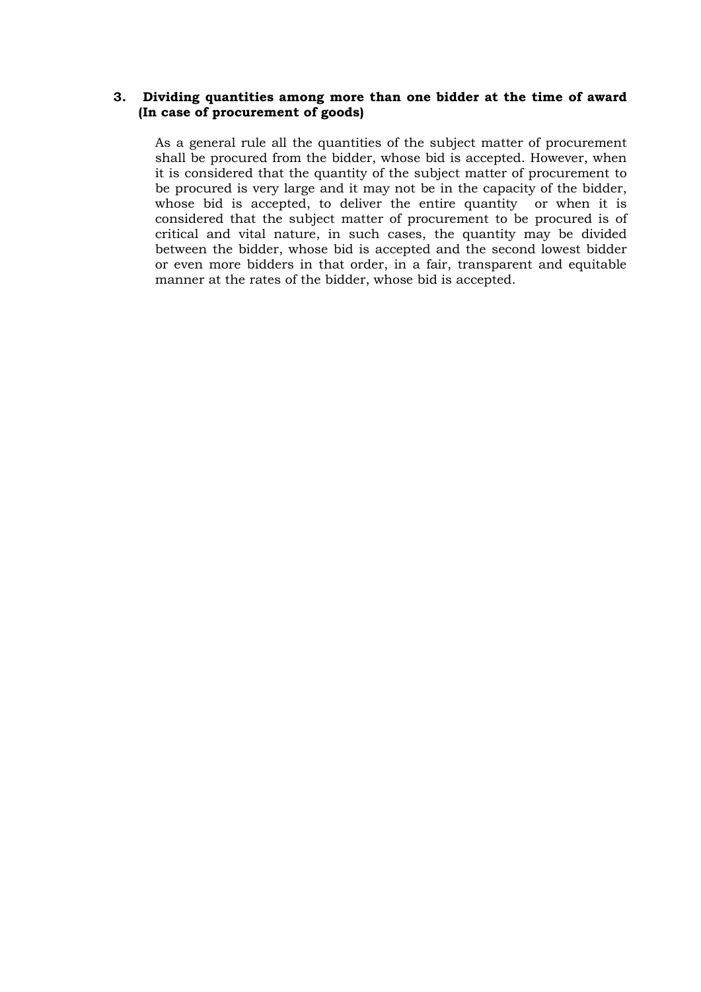### 3. Dividing quantities among more than one bidder at the time of award (In case of procurement of goods)

As a general rule all the quantities of the subject matter of procurement shall be procured from the bidder, whose bid is accepted. However, when it is considered that the quantity of the subject matter of procurement to be procured is very large and it may not be in the capacity of the bidder, whose bid is accepted, to deliver the entire quantity or when it is considered that the subject matter of procurement to be procured is of critical and vital nature, in such cases, the quantity may be divided between the bidder, whose bid is accepted and the second lowest bidder or even more bidders in that order, in a fair, transparent and equitable manner at the rates of the bidder, whose bid is accepted.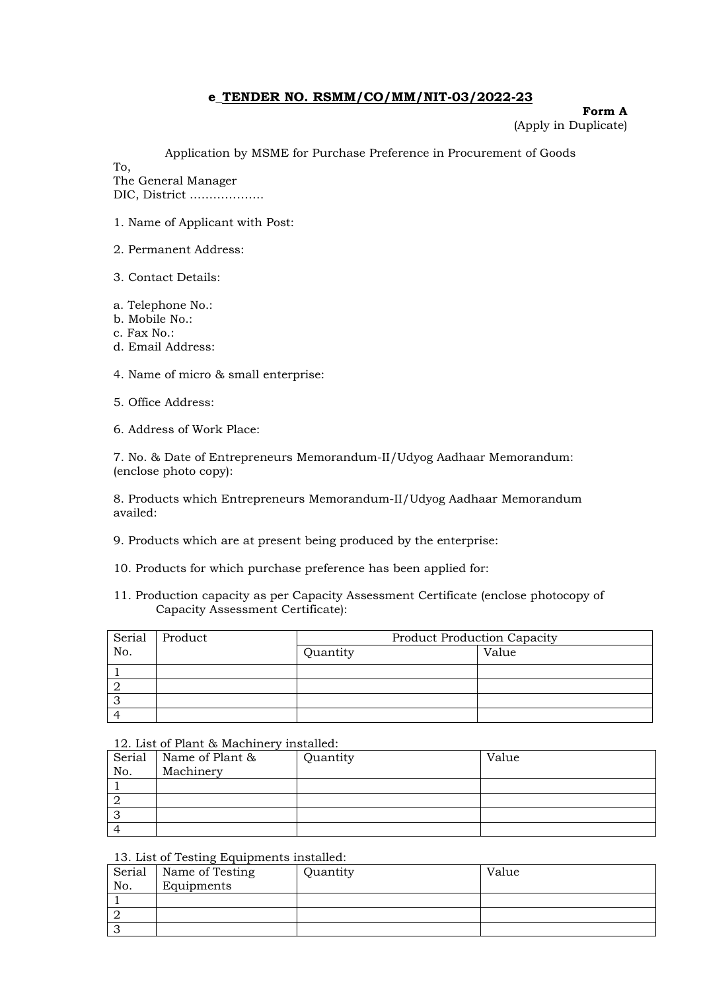#### Form A

(Apply in Duplicate)

Application by MSME for Purchase Preference in Procurement of Goods

To,

The General Manager DIC, District ……………….

- 1. Name of Applicant with Post:
- 2. Permanent Address:
- 3. Contact Details:
- a. Telephone No.:
- b. Mobile No.:
- c. Fax No.:
- d. Email Address:

4. Name of micro & small enterprise:

5. Office Address:

6. Address of Work Place:

7. No. & Date of Entrepreneurs Memorandum-II/Udyog Aadhaar Memorandum: (enclose photo copy):

8. Products which Entrepreneurs Memorandum-II/Udyog Aadhaar Memorandum availed:

- 9. Products which are at present being produced by the enterprise:
- 10. Products for which purchase preference has been applied for:
- 11. Production capacity as per Capacity Assessment Certificate (enclose photocopy of Capacity Assessment Certificate):

| Serial | Product | <b>Product Production Capacity</b> |       |  |
|--------|---------|------------------------------------|-------|--|
| No.    |         | Quantity                           | Value |  |
|        |         |                                    |       |  |
|        |         |                                    |       |  |
|        |         |                                    |       |  |
|        |         |                                    |       |  |

#### 12. List of Plant & Machinery installed:

| Serial | Name of Plant & | Quantity | Value |
|--------|-----------------|----------|-------|
| No.    | Machinery       |          |       |
|        |                 |          |       |
|        |                 |          |       |
| J      |                 |          |       |
|        |                 |          |       |

#### 13. List of Testing Equipments installed:

| Serial | $\cdot$ $\cdot$<br>Name of Testing | Quantity | Value |
|--------|------------------------------------|----------|-------|
| No.    | Equipments                         |          |       |
|        |                                    |          |       |
|        |                                    |          |       |
| ັ      |                                    |          |       |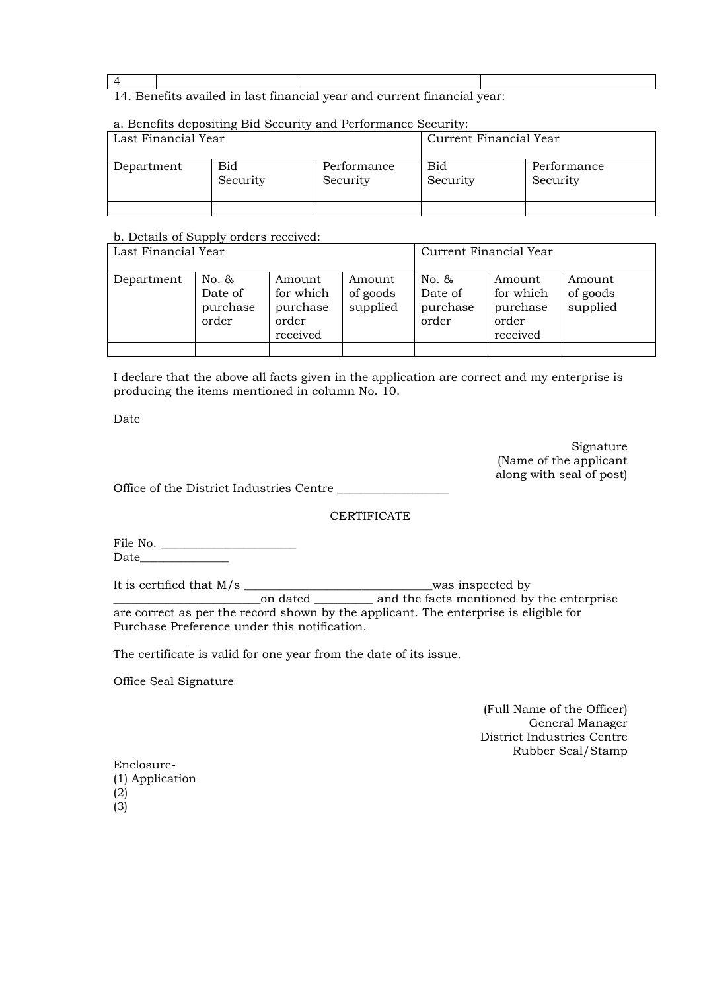#### 4

#### 14. Benefits availed in last financial year and current financial year:

#### a. Benefits depositing Bid Security and Performance Security:

| Last Financial Year |                 |                         | Current Financial Year |                         |  |
|---------------------|-----------------|-------------------------|------------------------|-------------------------|--|
| Department          | Bid<br>Security | Performance<br>Security | <b>Bid</b><br>Security | Performance<br>Security |  |
|                     |                 |                         |                        |                         |  |

#### b. Details of Supply orders received:

| Last Financial Year |                                       |                                                      |                                | Current Financial Year                |                                                      |                                |  |
|---------------------|---------------------------------------|------------------------------------------------------|--------------------------------|---------------------------------------|------------------------------------------------------|--------------------------------|--|
| Department          | No. &<br>Date of<br>purchase<br>order | Amount<br>for which<br>purchase<br>order<br>received | Amount<br>of goods<br>supplied | No. &<br>Date of<br>purchase<br>order | Amount<br>for which<br>purchase<br>order<br>received | Amount<br>of goods<br>supplied |  |

I declare that the above all facts given in the application are correct and my enterprise is producing the items mentioned in column No. 10.

Date

Signature (Name of the applicant along with seal of post)

Office of the District Industries Centre

#### **CERTIFICATE**

File No. \_\_\_\_\_\_\_\_\_\_\_\_\_\_\_\_\_\_\_\_\_\_\_ Date\_\_\_\_\_\_\_\_\_\_\_\_\_\_\_

It is certified that M/s \_\_\_\_\_\_\_\_\_\_\_\_\_\_\_\_\_\_\_\_\_\_\_\_\_\_\_\_\_\_\_\_was inspected by \_\_\_\_\_\_\_\_\_\_\_\_\_\_\_\_\_\_\_\_\_\_\_\_\_on dated \_\_\_\_\_\_\_\_\_\_ and the facts mentioned by the enterprise

are correct as per the record shown by the applicant. The enterprise is eligible for Purchase Preference under this notification.

The certificate is valid for one year from the date of its issue.

Office Seal Signature

(Full Name of the Officer) General Manager District Industries Centre Rubber Seal/Stamp

| Enclosure-      |  |  |  |  |  |  |
|-----------------|--|--|--|--|--|--|
| (1) Application |  |  |  |  |  |  |
| (2)             |  |  |  |  |  |  |
| (3)             |  |  |  |  |  |  |